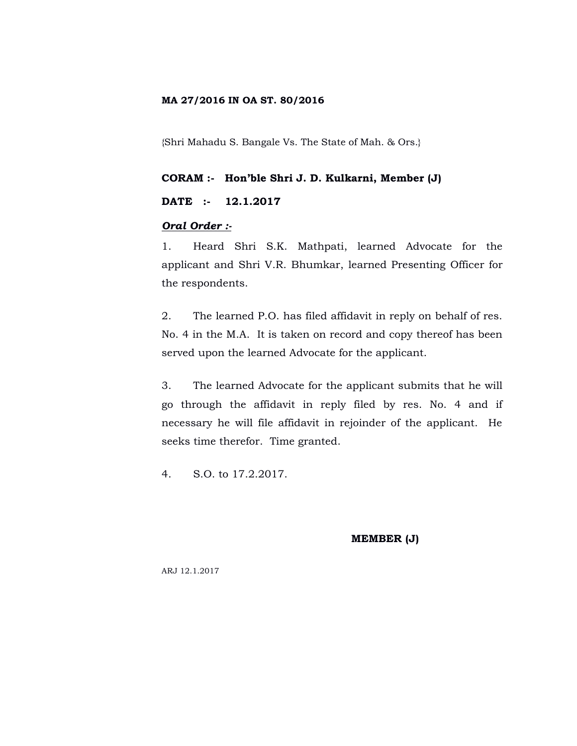## **MA 27/2016 IN OA ST. 80/2016**

{Shri Mahadu S. Bangale Vs. The State of Mah. & Ors.}

## **CORAM :- Hon'ble Shri J. D. Kulkarni, Member (J)**

## **DATE :- 12.1.2017**

# *Oral Order :-*

1. Heard Shri S.K. Mathpati, learned Advocate for the applicant and Shri V.R. Bhumkar, learned Presenting Officer for the respondents.

2. The learned P.O. has filed affidavit in reply on behalf of res. No. 4 in the M.A. It is taken on record and copy thereof has been served upon the learned Advocate for the applicant.

3. The learned Advocate for the applicant submits that he will go through the affidavit in reply filed by res. No. 4 and if necessary he will file affidavit in rejoinder of the applicant. He seeks time therefor. Time granted.

4. S.O. to 17.2.2017.

**MEMBER (J)**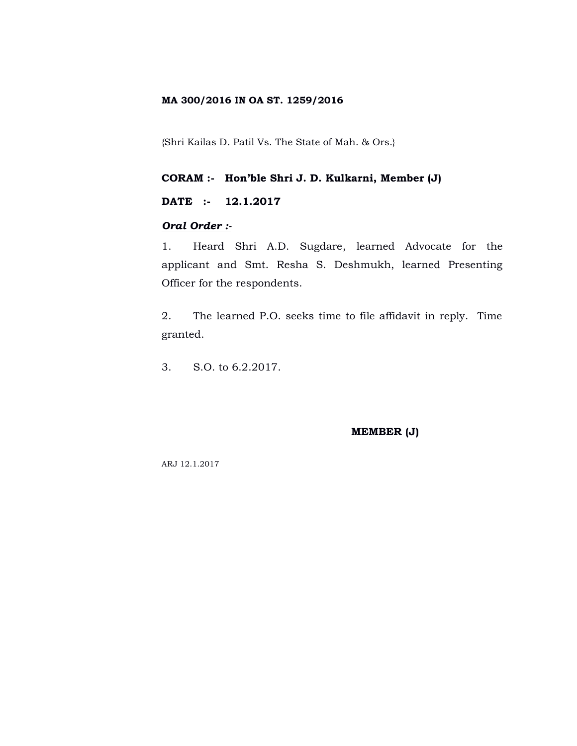## **MA 300/2016 IN OA ST. 1259/2016**

{Shri Kailas D. Patil Vs. The State of Mah. & Ors.}

**CORAM :- Hon'ble Shri J. D. Kulkarni, Member (J)**

**DATE :- 12.1.2017**

## *Oral Order :-*

1. Heard Shri A.D. Sugdare, learned Advocate for the applicant and Smt. Resha S. Deshmukh, learned Presenting Officer for the respondents.

2. The learned P.O. seeks time to file affidavit in reply. Time granted.

3. S.O. to 6.2.2017.

#### **MEMBER (J)**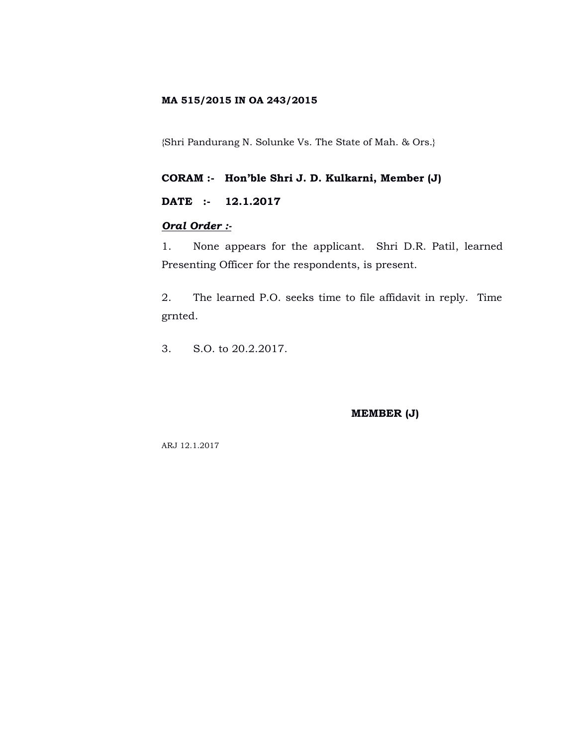## **MA 515/2015 IN OA 243/2015**

{Shri Pandurang N. Solunke Vs. The State of Mah. & Ors.}

# **CORAM :- Hon'ble Shri J. D. Kulkarni, Member (J)**

# **DATE :- 12.1.2017**

# *Oral Order :-*

1. None appears for the applicant. Shri D.R. Patil, learned Presenting Officer for the respondents, is present.

2. The learned P.O. seeks time to file affidavit in reply. Time grnted.

3. S.O. to 20.2.2017.

### **MEMBER (J)**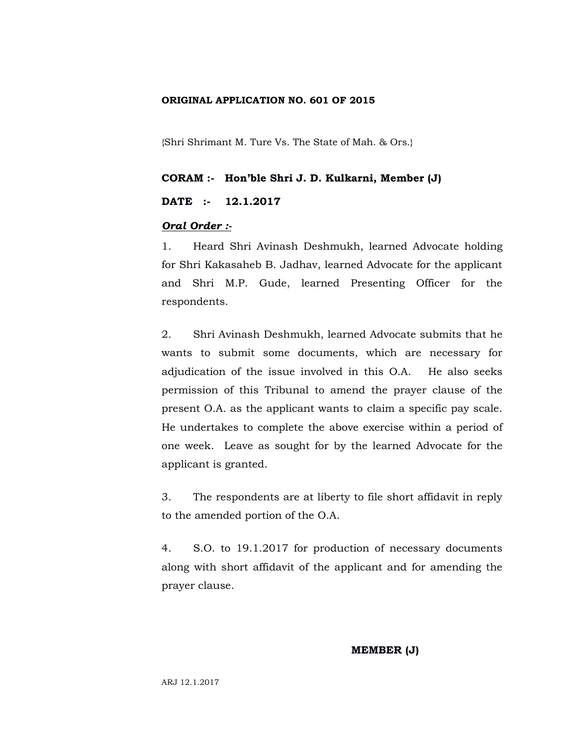## **ORIGINAL APPLICATION NO. 601 OF 2015**

{Shri Shrimant M. Ture Vs. The State of Mah. & Ors.}

#### **CORAM :- Hon'ble Shri J. D. Kulkarni, Member (J)**

## **DATE :- 12.1.2017**

#### *Oral Order :-*

1. Heard Shri Avinash Deshmukh, learned Advocate holding for Shri Kakasaheb B. Jadhav, learned Advocate for the applicant and Shri M.P. Gude, learned Presenting Officer for the respondents.

2. Shri Avinash Deshmukh, learned Advocate submits that he wants to submit some documents, which are necessary for adjudication of the issue involved in this O.A. He also seeks permission of this Tribunal to amend the prayer clause of the present O.A. as the applicant wants to claim a specific pay scale. He undertakes to complete the above exercise within a period of one week. Leave as sought for by the learned Advocate for the applicant is granted.

3. The respondents are at liberty to file short affidavit in reply to the amended portion of the O.A.

4. S.O. to 19.1.2017 for production of necessary documents along with short affidavit of the applicant and for amending the prayer clause.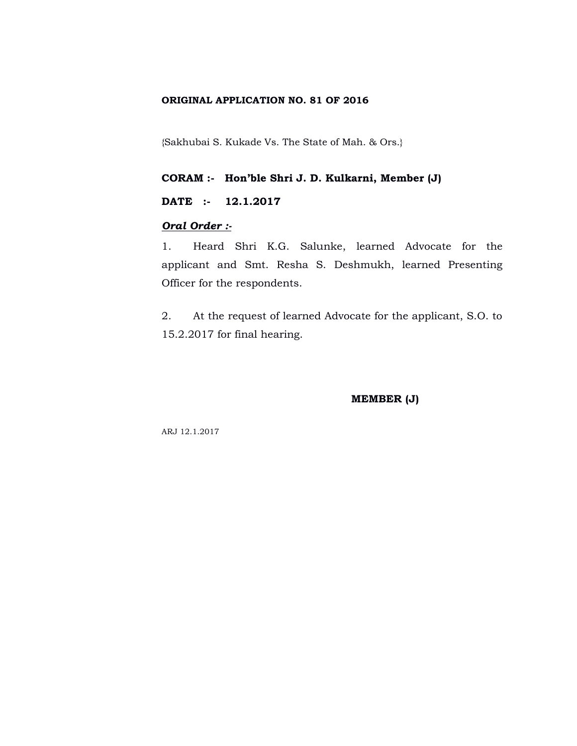## **ORIGINAL APPLICATION NO. 81 OF 2016**

{Sakhubai S. Kukade Vs. The State of Mah. & Ors.}

**CORAM :- Hon'ble Shri J. D. Kulkarni, Member (J)**

**DATE :- 12.1.2017**

## *Oral Order :-*

1. Heard Shri K.G. Salunke, learned Advocate for the applicant and Smt. Resha S. Deshmukh, learned Presenting Officer for the respondents.

2. At the request of learned Advocate for the applicant, S.O. to 15.2.2017 for final hearing.

**MEMBER (J)**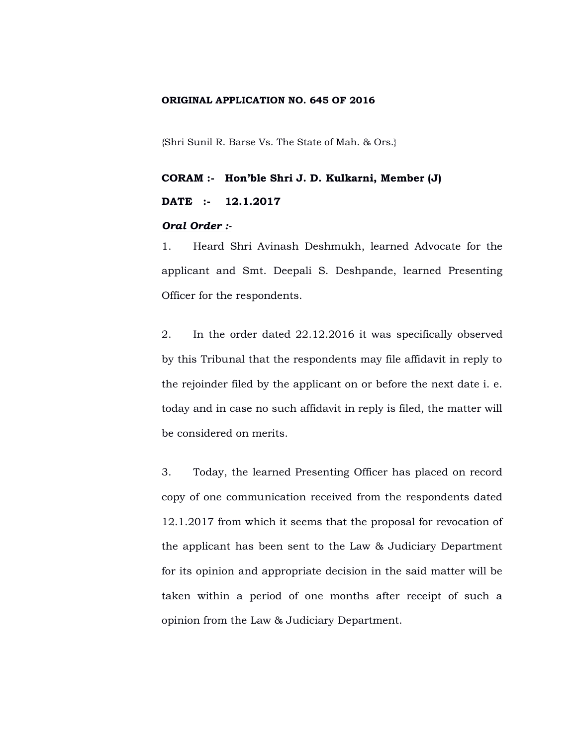## **ORIGINAL APPLICATION NO. 645 OF 2016**

{Shri Sunil R. Barse Vs. The State of Mah. & Ors.}

# **CORAM :- Hon'ble Shri J. D. Kulkarni, Member (J) DATE :- 12.1.2017**

## *Oral Order :-*

1. Heard Shri Avinash Deshmukh, learned Advocate for the applicant and Smt. Deepali S. Deshpande, learned Presenting Officer for the respondents.

2. In the order dated 22.12.2016 it was specifically observed by this Tribunal that the respondents may file affidavit in reply to the rejoinder filed by the applicant on or before the next date i. e. today and in case no such affidavit in reply is filed, the matter will be considered on merits.

3. Today, the learned Presenting Officer has placed on record copy of one communication received from the respondents dated 12.1.2017 from which it seems that the proposal for revocation of the applicant has been sent to the Law & Judiciary Department for its opinion and appropriate decision in the said matter will be taken within a period of one months after receipt of such a opinion from the Law & Judiciary Department.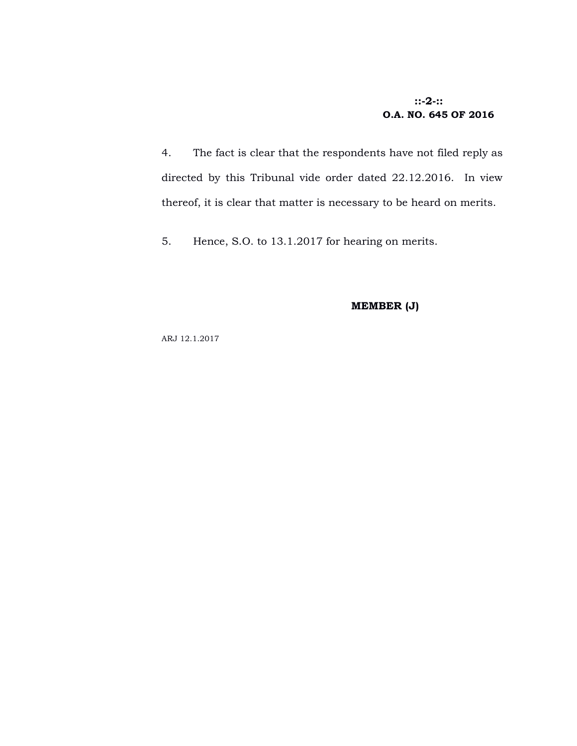# **::-2-:: O.A. NO. 645 OF 2016**

4. The fact is clear that the respondents have not filed reply as directed by this Tribunal vide order dated 22.12.2016. In view thereof, it is clear that matter is necessary to be heard on merits.

5. Hence, S.O. to 13.1.2017 for hearing on merits.

# **MEMBER (J)**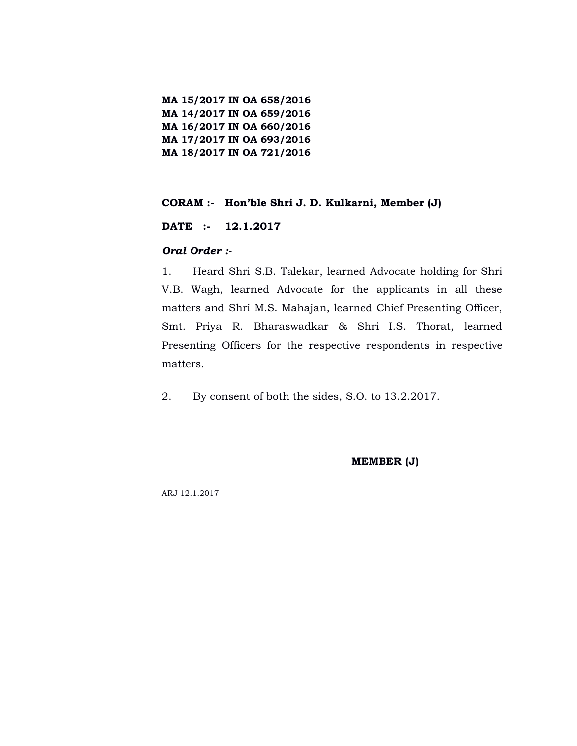**MA 15/2017 IN OA 658/2016 MA 14/2017 IN OA 659/2016 MA 16/2017 IN OA 660/2016 MA 17/2017 IN OA 693/2016 MA 18/2017 IN OA 721/2016**

## **CORAM :- Hon'ble Shri J. D. Kulkarni, Member (J)**

**DATE :- 12.1.2017**

### *Oral Order :-*

1. Heard Shri S.B. Talekar, learned Advocate holding for Shri V.B. Wagh, learned Advocate for the applicants in all these matters and Shri M.S. Mahajan, learned Chief Presenting Officer, Smt. Priya R. Bharaswadkar & Shri I.S. Thorat, learned Presenting Officers for the respective respondents in respective matters.

2. By consent of both the sides, S.O. to 13.2.2017.

**MEMBER (J)**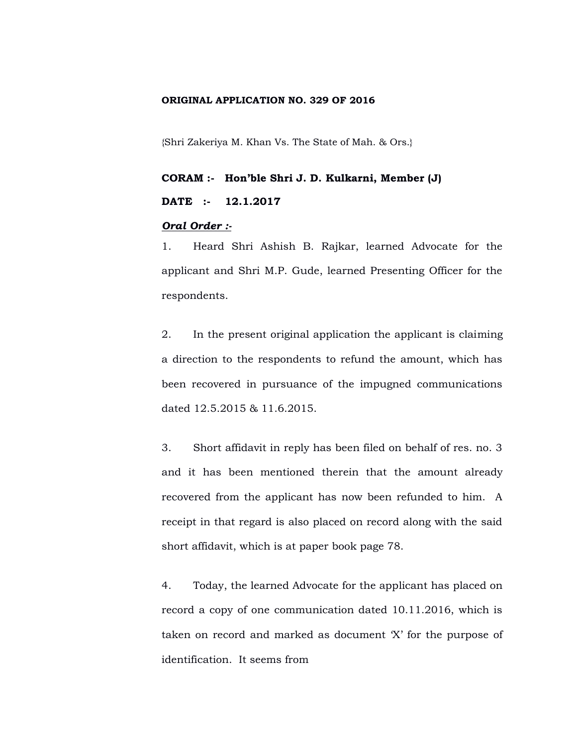### **ORIGINAL APPLICATION NO. 329 OF 2016**

{Shri Zakeriya M. Khan Vs. The State of Mah. & Ors.}

# **CORAM :- Hon'ble Shri J. D. Kulkarni, Member (J) DATE :- 12.1.2017**

## *Oral Order :-*

1. Heard Shri Ashish B. Rajkar, learned Advocate for the applicant and Shri M.P. Gude, learned Presenting Officer for the respondents.

2. In the present original application the applicant is claiming a direction to the respondents to refund the amount, which has been recovered in pursuance of the impugned communications dated 12.5.2015 & 11.6.2015.

3. Short affidavit in reply has been filed on behalf of res. no. 3 and it has been mentioned therein that the amount already recovered from the applicant has now been refunded to him. A receipt in that regard is also placed on record along with the said short affidavit, which is at paper book page 78.

4. Today, the learned Advocate for the applicant has placed on record a copy of one communication dated 10.11.2016, which is taken on record and marked as document 'X' for the purpose of identification. It seems from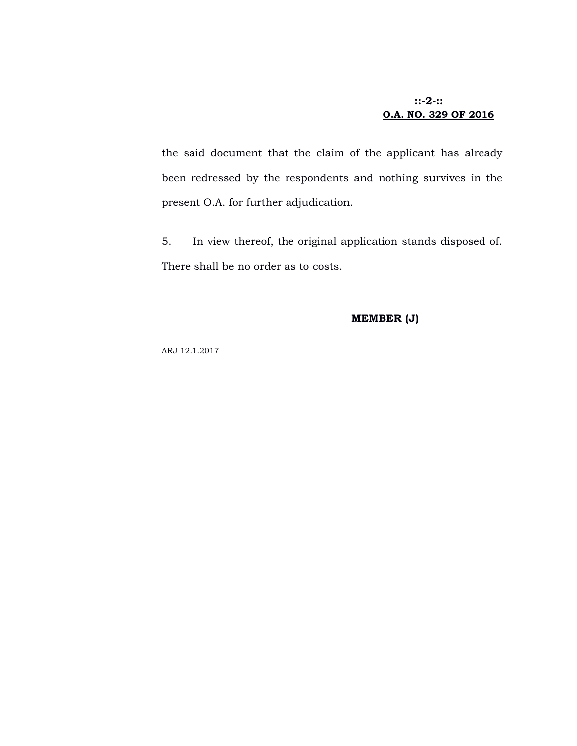# **::-2-:: O.A. NO. 329 OF 2016**

the said document that the claim of the applicant has already been redressed by the respondents and nothing survives in the present O.A. for further adjudication.

5. In view thereof, the original application stands disposed of. There shall be no order as to costs.

#### **MEMBER (J)**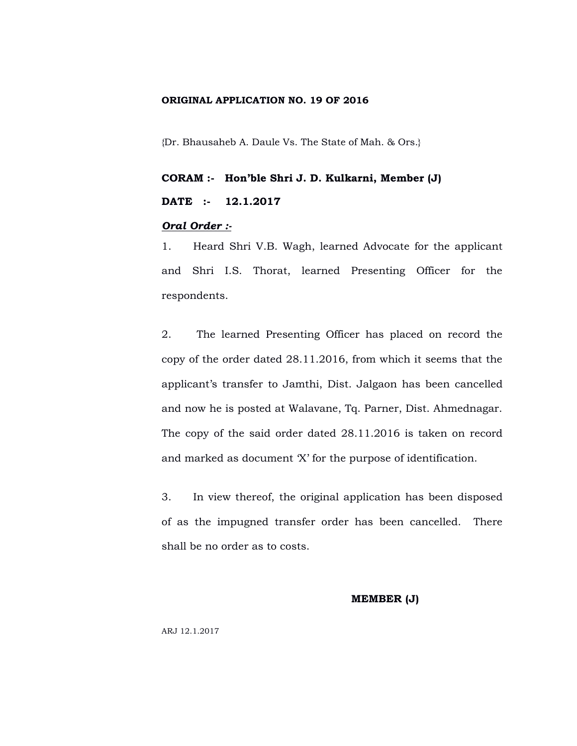#### **ORIGINAL APPLICATION NO. 19 OF 2016**

{Dr. Bhausaheb A. Daule Vs. The State of Mah. & Ors.}

# **CORAM :- Hon'ble Shri J. D. Kulkarni, Member (J) DATE :- 12.1.2017**

## *Oral Order :-*

1. Heard Shri V.B. Wagh, learned Advocate for the applicant and Shri I.S. Thorat, learned Presenting Officer for the respondents.

2. The learned Presenting Officer has placed on record the copy of the order dated 28.11.2016, from which it seems that the applicant's transfer to Jamthi, Dist. Jalgaon has been cancelled and now he is posted at Walavane, Tq. Parner, Dist. Ahmednagar. The copy of the said order dated 28.11.2016 is taken on record and marked as document 'X' for the purpose of identification.

3. In view thereof, the original application has been disposed of as the impugned transfer order has been cancelled. There shall be no order as to costs.

#### **MEMBER (J)**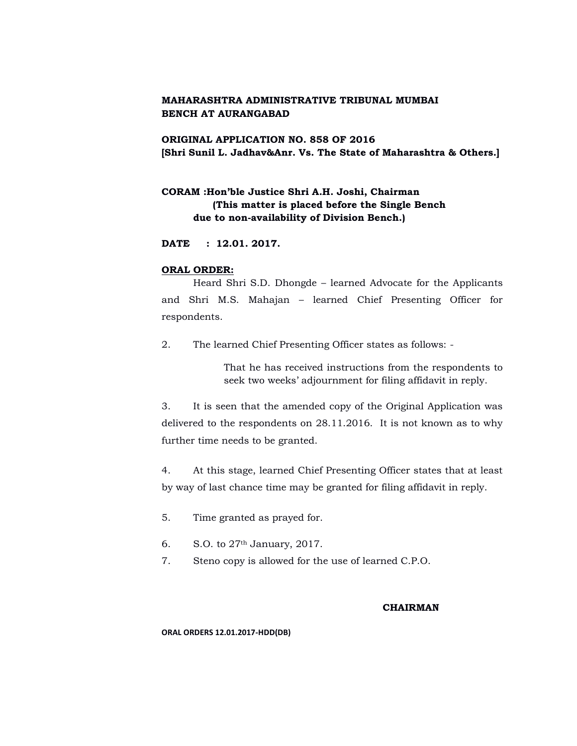# **ORIGINAL APPLICATION NO. 858 OF 2016 [Shri Sunil L. Jadhav&Anr. Vs. The State of Maharashtra & Others.]**

# **CORAM :Hon'ble Justice Shri A.H. Joshi, Chairman (This matter is placed before the Single Bench due to non-availability of Division Bench.)**

**DATE : 12.01. 2017.**

#### **ORAL ORDER:**

Heard Shri S.D. Dhongde – learned Advocate for the Applicants and Shri M.S. Mahajan – learned Chief Presenting Officer for respondents.

2. The learned Chief Presenting Officer states as follows: -

That he has received instructions from the respondents to seek two weeks' adjournment for filing affidavit in reply.

3. It is seen that the amended copy of the Original Application was delivered to the respondents on 28.11.2016. It is not known as to why further time needs to be granted.

4. At this stage, learned Chief Presenting Officer states that at least by way of last chance time may be granted for filing affidavit in reply.

- 5. Time granted as prayed for.
- 6. S.O. to 27th January, 2017.
- 7. Steno copy is allowed for the use of learned C.P.O.

#### **CHAIRMAN**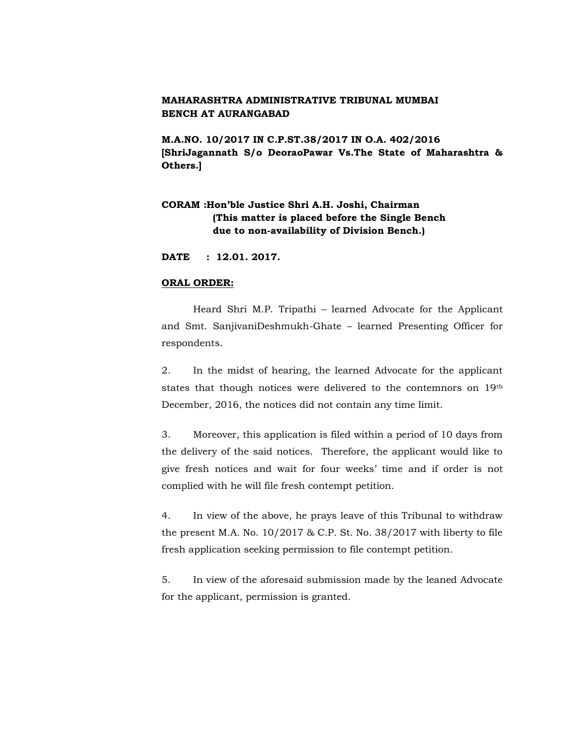**M.A.NO. 10/2017 IN C.P.ST.38/2017 IN O.A. 402/2016 [ShriJagannath S/o DeoraoPawar Vs.The State of Maharashtra & Others.]**

# **CORAM :Hon'ble Justice Shri A.H. Joshi, Chairman (This matter is placed before the Single Bench due to non-availability of Division Bench.)**

**DATE : 12.01. 2017.**

#### **ORAL ORDER:**

Heard Shri M.P. Tripathi – learned Advocate for the Applicant and Smt. SanjivaniDeshmukh-Ghate – learned Presenting Officer for respondents.

2. In the midst of hearing, the learned Advocate for the applicant states that though notices were delivered to the contemnors on 19th December, 2016, the notices did not contain any time limit.

3. Moreover, this application is filed within a period of 10 days from the delivery of the said notices. Therefore, the applicant would like to give fresh notices and wait for four weeks' time and if order is not complied with he will file fresh contempt petition.

4. In view of the above, he prays leave of this Tribunal to withdraw the present M.A. No. 10/2017 & C.P. St. No. 38/2017 with liberty to file fresh application seeking permission to file contempt petition.

5. In view of the aforesaid submission made by the leaned Advocate for the applicant, permission is granted.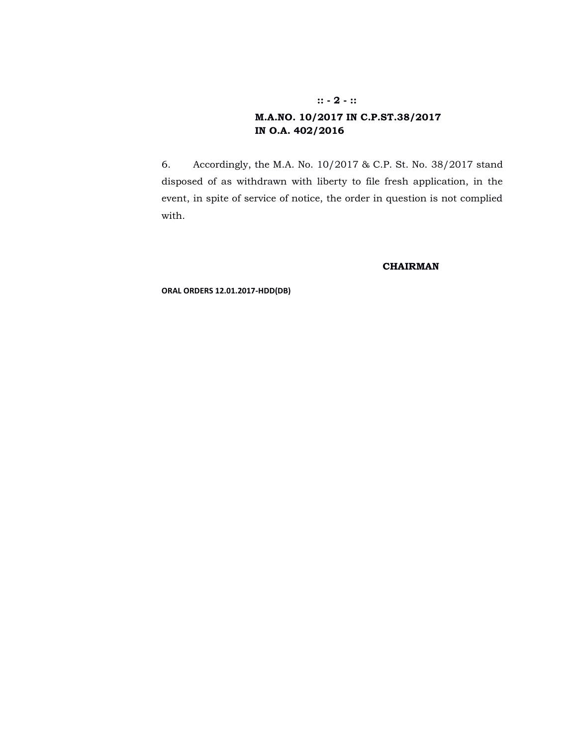# **M.A.NO. 10/2017 IN C.P.ST.38/2017 IN O.A. 402/2016**

6. Accordingly, the M.A. No. 10/2017 & C.P. St. No. 38/2017 stand disposed of as withdrawn with liberty to file fresh application, in the event, in spite of service of notice, the order in question is not complied with.

#### **CHAIRMAN**

**ORAL ORDERS 12.01.2017-HDD(DB)**

#### **:: - 2 - ::**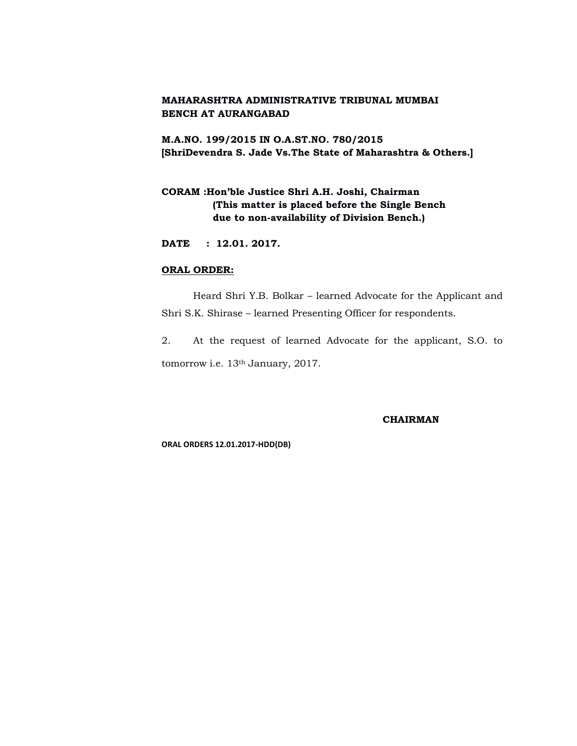# **M.A.NO. 199/2015 IN O.A.ST.NO. 780/2015 [ShriDevendra S. Jade Vs.The State of Maharashtra & Others.]**

# **CORAM :Hon'ble Justice Shri A.H. Joshi, Chairman (This matter is placed before the Single Bench due to non-availability of Division Bench.)**

**DATE : 12.01. 2017.**

## **ORAL ORDER:**

Heard Shri Y.B. Bolkar – learned Advocate for the Applicant and Shri S.K. Shirase – learned Presenting Officer for respondents.

2. At the request of learned Advocate for the applicant, S.O. to tomorrow i.e. 13th January, 2017.

# **CHAIRMAN**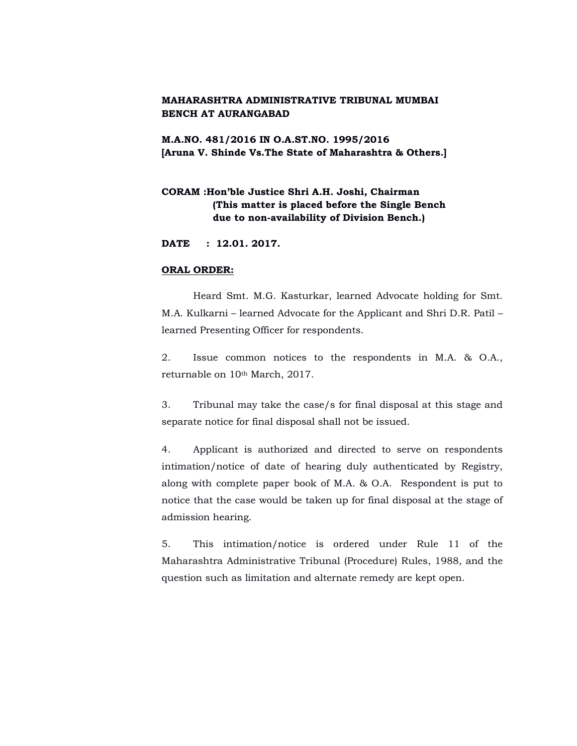**M.A.NO. 481/2016 IN O.A.ST.NO. 1995/2016 [Aruna V. Shinde Vs.The State of Maharashtra & Others.]**

# **CORAM :Hon'ble Justice Shri A.H. Joshi, Chairman (This matter is placed before the Single Bench due to non-availability of Division Bench.)**

**DATE : 12.01. 2017.**

#### **ORAL ORDER:**

Heard Smt. M.G. Kasturkar, learned Advocate holding for Smt. M.A. Kulkarni – learned Advocate for the Applicant and Shri D.R. Patil – learned Presenting Officer for respondents.

2. Issue common notices to the respondents in M.A. & O.A., returnable on 10th March, 2017.

3. Tribunal may take the case/s for final disposal at this stage and separate notice for final disposal shall not be issued.

4. Applicant is authorized and directed to serve on respondents intimation/notice of date of hearing duly authenticated by Registry, along with complete paper book of M.A. & O.A. Respondent is put to notice that the case would be taken up for final disposal at the stage of admission hearing.

5. This intimation/notice is ordered under Rule 11 of the Maharashtra Administrative Tribunal (Procedure) Rules, 1988, and the question such as limitation and alternate remedy are kept open.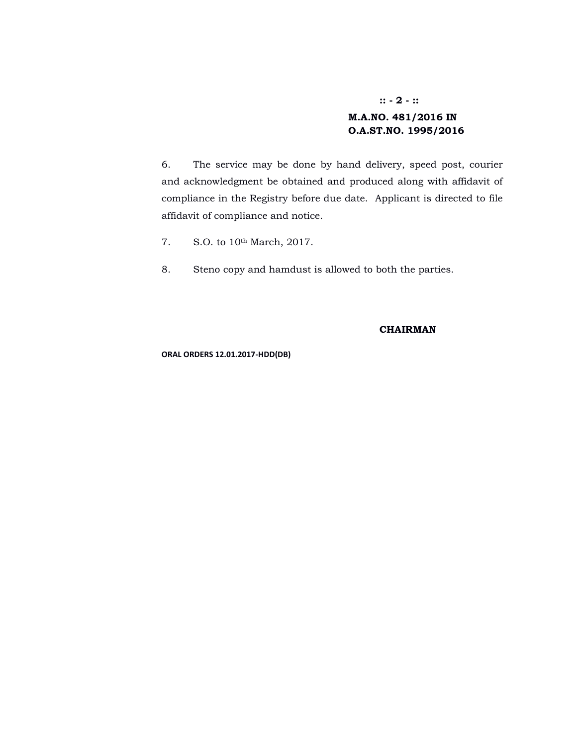# **:: - 2 - :: M.A.NO. 481/2016 IN O.A.ST.NO. 1995/2016**

6. The service may be done by hand delivery, speed post, courier and acknowledgment be obtained and produced along with affidavit of compliance in the Registry before due date. Applicant is directed to file affidavit of compliance and notice.

- 7. S.O. to 10th March, 2017.
- 8. Steno copy and hamdust is allowed to both the parties.

## **CHAIRMAN**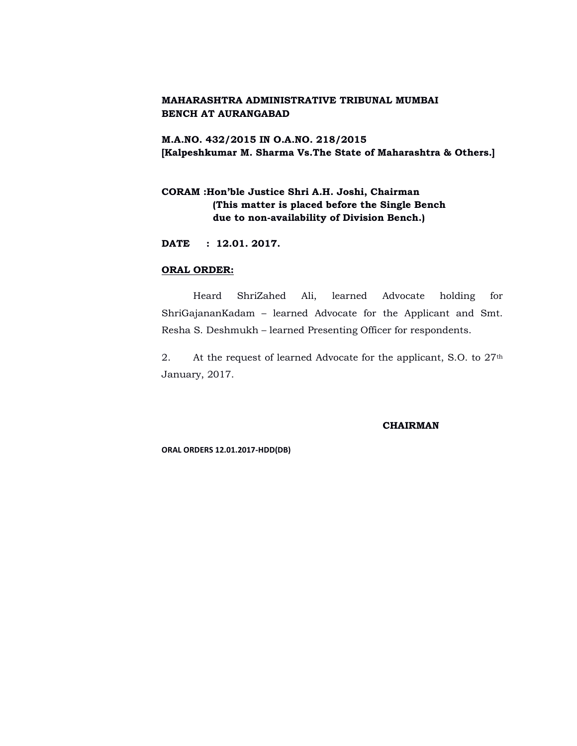**M.A.NO. 432/2015 IN O.A.NO. 218/2015 [Kalpeshkumar M. Sharma Vs.The State of Maharashtra & Others.]**

# **CORAM :Hon'ble Justice Shri A.H. Joshi, Chairman (This matter is placed before the Single Bench due to non-availability of Division Bench.)**

**DATE : 12.01. 2017.**

## **ORAL ORDER:**

Heard ShriZahed Ali, learned Advocate holding for ShriGajananKadam – learned Advocate for the Applicant and Smt. Resha S. Deshmukh – learned Presenting Officer for respondents.

2. At the request of learned Advocate for the applicant, S.O. to 27<sup>th</sup> January, 2017.

#### **CHAIRMAN**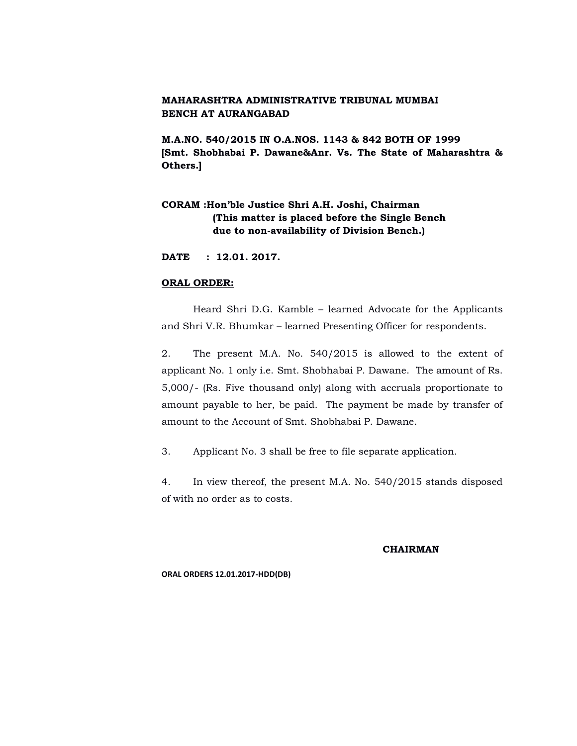**M.A.NO. 540/2015 IN O.A.NOS. 1143 & 842 BOTH OF 1999 [Smt. Shobhabai P. Dawane&Anr. Vs. The State of Maharashtra & Others.]**

# **CORAM :Hon'ble Justice Shri A.H. Joshi, Chairman (This matter is placed before the Single Bench due to non-availability of Division Bench.)**

**DATE : 12.01. 2017.**

#### **ORAL ORDER:**

Heard Shri D.G. Kamble – learned Advocate for the Applicants and Shri V.R. Bhumkar – learned Presenting Officer for respondents.

2. The present M.A. No. 540/2015 is allowed to the extent of applicant No. 1 only i.e. Smt. Shobhabai P. Dawane. The amount of Rs. 5,000/- (Rs. Five thousand only) along with accruals proportionate to amount payable to her, be paid. The payment be made by transfer of amount to the Account of Smt. Shobhabai P. Dawane.

3. Applicant No. 3 shall be free to file separate application.

4. In view thereof, the present M.A. No. 540/2015 stands disposed of with no order as to costs.

#### **CHAIRMAN**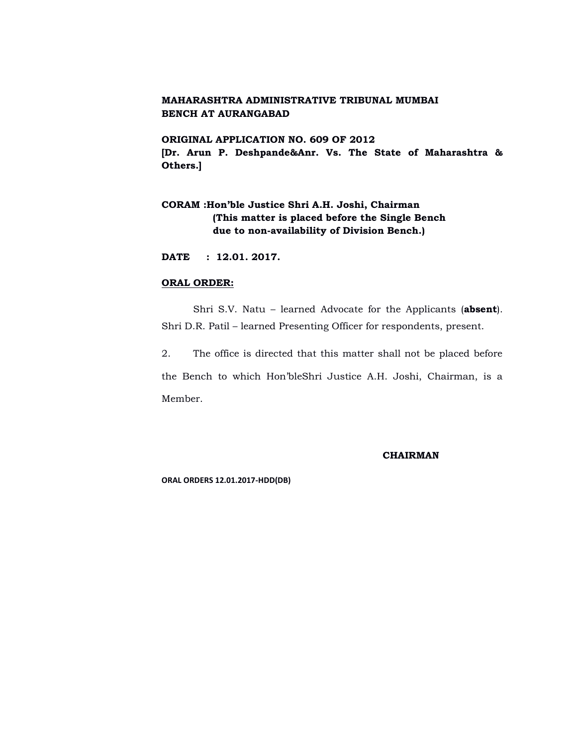**ORIGINAL APPLICATION NO. 609 OF 2012 [Dr. Arun P. Deshpande&Anr. Vs. The State of Maharashtra & Others.]**

# **CORAM :Hon'ble Justice Shri A.H. Joshi, Chairman (This matter is placed before the Single Bench due to non-availability of Division Bench.)**

**DATE : 12.01. 2017.**

#### **ORAL ORDER:**

Shri S.V. Natu – learned Advocate for the Applicants (**absent**). Shri D.R. Patil – learned Presenting Officer for respondents, present.

2. The office is directed that this matter shall not be placed before the Bench to which Hon'bleShri Justice A.H. Joshi, Chairman, is a Member.

**CHAIRMAN**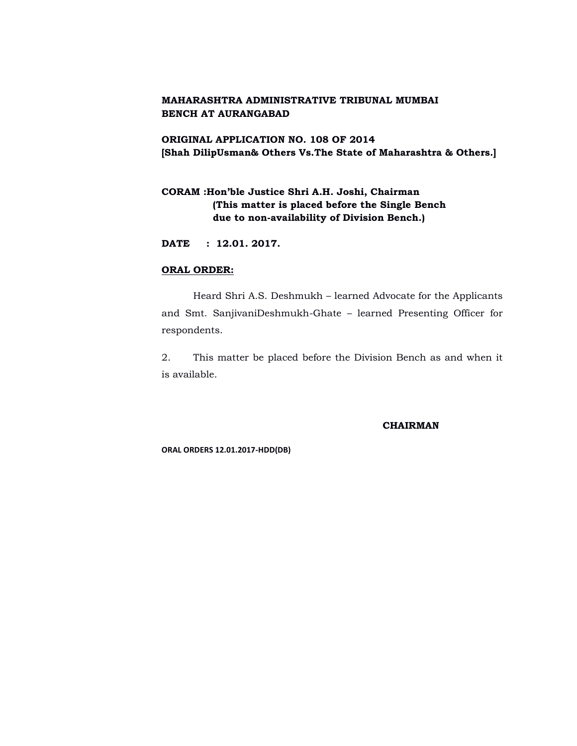# **ORIGINAL APPLICATION NO. 108 OF 2014 [Shah DilipUsman& Others Vs.The State of Maharashtra & Others.]**

# **CORAM :Hon'ble Justice Shri A.H. Joshi, Chairman (This matter is placed before the Single Bench due to non-availability of Division Bench.)**

**DATE : 12.01. 2017.**

## **ORAL ORDER:**

Heard Shri A.S. Deshmukh – learned Advocate for the Applicants and Smt. SanjivaniDeshmukh-Ghate – learned Presenting Officer for respondents.

2. This matter be placed before the Division Bench as and when it is available.

#### **CHAIRMAN**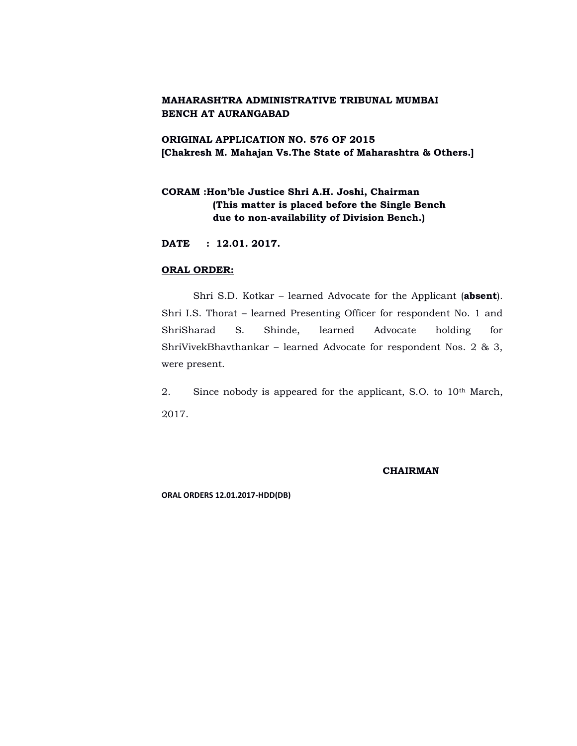# **ORIGINAL APPLICATION NO. 576 OF 2015 [Chakresh M. Mahajan Vs.The State of Maharashtra & Others.]**

# **CORAM :Hon'ble Justice Shri A.H. Joshi, Chairman (This matter is placed before the Single Bench due to non-availability of Division Bench.)**

**DATE : 12.01. 2017.**

## **ORAL ORDER:**

Shri S.D. Kotkar – learned Advocate for the Applicant (**absent**). Shri I.S. Thorat – learned Presenting Officer for respondent No. 1 and ShriSharad S. Shinde, learned Advocate holding for ShriVivekBhavthankar – learned Advocate for respondent Nos. 2 & 3, were present.

2. Since nobody is appeared for the applicant, S.O. to 10<sup>th</sup> March, 2017.

#### **CHAIRMAN**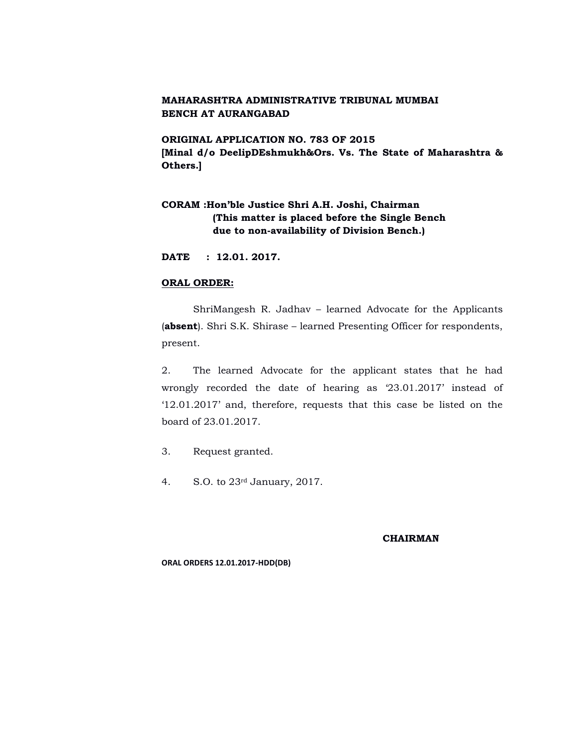**ORIGINAL APPLICATION NO. 783 OF 2015 [Minal d/o DeelipDEshmukh&Ors. Vs. The State of Maharashtra & Others.]**

# **CORAM :Hon'ble Justice Shri A.H. Joshi, Chairman (This matter is placed before the Single Bench due to non-availability of Division Bench.)**

**DATE : 12.01. 2017.**

#### **ORAL ORDER:**

ShriMangesh R. Jadhav – learned Advocate for the Applicants (**absent**). Shri S.K. Shirase – learned Presenting Officer for respondents, present.

2. The learned Advocate for the applicant states that he had wrongly recorded the date of hearing as '23.01.2017' instead of '12.01.2017' and, therefore, requests that this case be listed on the board of 23.01.2017.

3. Request granted.

4. S.O. to 23rd January, 2017.

#### **CHAIRMAN**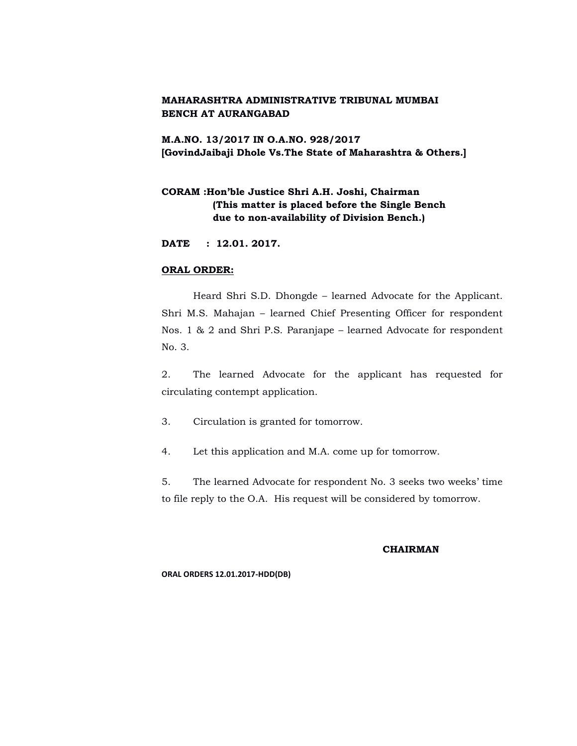**M.A.NO. 13/2017 IN O.A.NO. 928/2017 [GovindJaibaji Dhole Vs.The State of Maharashtra & Others.]**

# **CORAM :Hon'ble Justice Shri A.H. Joshi, Chairman (This matter is placed before the Single Bench due to non-availability of Division Bench.)**

**DATE : 12.01. 2017.**

## **ORAL ORDER:**

Heard Shri S.D. Dhongde – learned Advocate for the Applicant. Shri M.S. Mahajan – learned Chief Presenting Officer for respondent Nos. 1 & 2 and Shri P.S. Paranjape – learned Advocate for respondent No. 3.

2. The learned Advocate for the applicant has requested for circulating contempt application.

- 3. Circulation is granted for tomorrow.
- 4. Let this application and M.A. come up for tomorrow.

5. The learned Advocate for respondent No. 3 seeks two weeks' time to file reply to the O.A. His request will be considered by tomorrow.

#### **CHAIRMAN**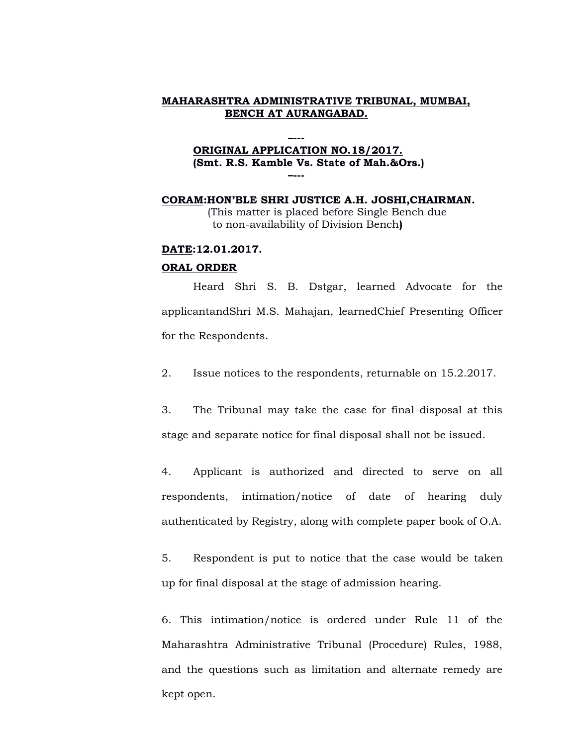# **ORIGINAL APPLICATION NO.18/2017. (Smt. R.S. Kamble Vs. State of Mah.&Ors.) –---**

**–---**

**CORAM:HON'BLE SHRI JUSTICE A.H. JOSHI,CHAIRMAN.** (This matter is placed before Single Bench due to non-availability of Division Bench**)**

## **DATE:12.01.2017.**

#### **ORAL ORDER**

Heard Shri S. B. Dstgar, learned Advocate for the applicantandShri M.S. Mahajan, learnedChief Presenting Officer for the Respondents.

2. Issue notices to the respondents, returnable on 15.2.2017.

3. The Tribunal may take the case for final disposal at this stage and separate notice for final disposal shall not be issued.

4. Applicant is authorized and directed to serve on all respondents, intimation/notice of date of hearing duly authenticated by Registry, along with complete paper book of O.A.

5. Respondent is put to notice that the case would be taken up for final disposal at the stage of admission hearing.

6. This intimation/notice is ordered under Rule 11 of the Maharashtra Administrative Tribunal (Procedure) Rules, 1988, and the questions such as limitation and alternate remedy are kept open.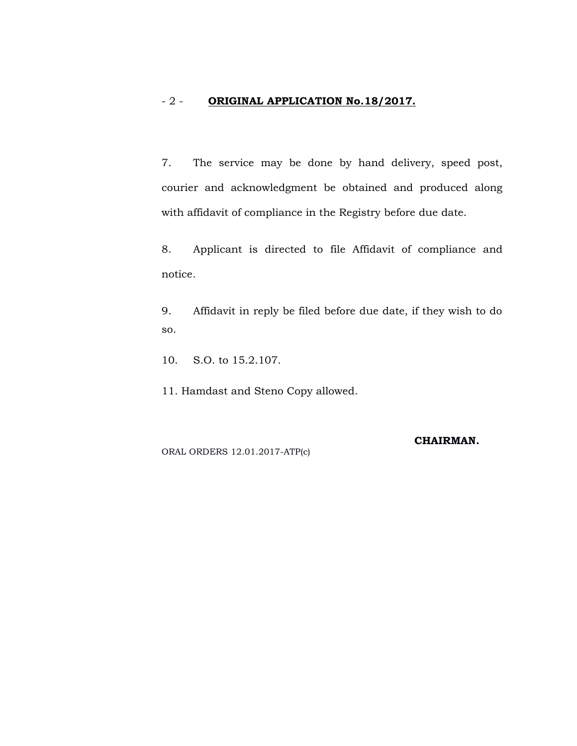# - 2 - **ORIGINAL APPLICATION No.18/2017.**

7. The service may be done by hand delivery, speed post, courier and acknowledgment be obtained and produced along with affidavit of compliance in the Registry before due date.

8. Applicant is directed to file Affidavit of compliance and notice.

9. Affidavit in reply be filed before due date, if they wish to do so.

10. S.O. to 15.2.107.

11. Hamdast and Steno Copy allowed.

ORAL ORDERS 12.01.2017-ATP(c)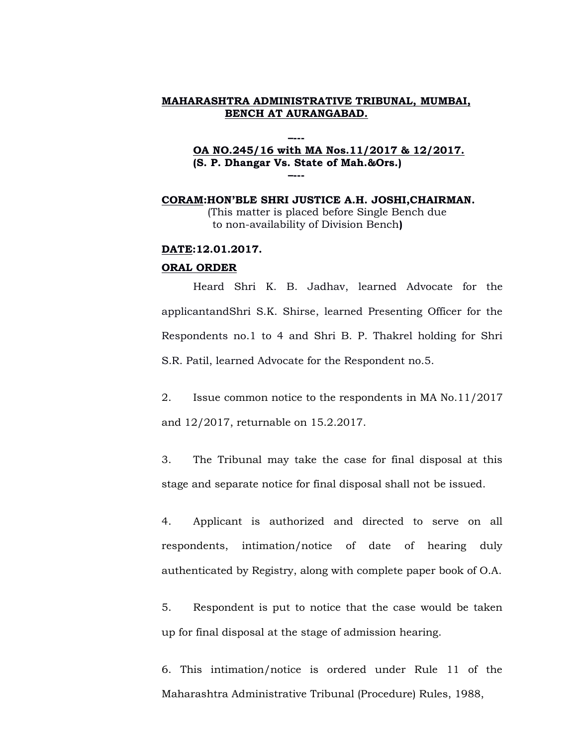## **–--- OA NO.245/16 with MA Nos.11/2017 & 12/2017. (S. P. Dhangar Vs. State of Mah.&Ors.) –---**

**CORAM:HON'BLE SHRI JUSTICE A.H. JOSHI,CHAIRMAN.** (This matter is placed before Single Bench due to non-availability of Division Bench**)**

## **DATE:12.01.2017.**

#### **ORAL ORDER**

Heard Shri K. B. Jadhav, learned Advocate for the applicantandShri S.K. Shirse, learned Presenting Officer for the Respondents no.1 to 4 and Shri B. P. Thakrel holding for Shri S.R. Patil, learned Advocate for the Respondent no.5.

2. Issue common notice to the respondents in MA No.11/2017 and 12/2017, returnable on 15.2.2017.

3. The Tribunal may take the case for final disposal at this stage and separate notice for final disposal shall not be issued.

4. Applicant is authorized and directed to serve on all respondents, intimation/notice of date of hearing duly authenticated by Registry, along with complete paper book of O.A.

5. Respondent is put to notice that the case would be taken up for final disposal at the stage of admission hearing.

6. This intimation/notice is ordered under Rule 11 of the Maharashtra Administrative Tribunal (Procedure) Rules, 1988,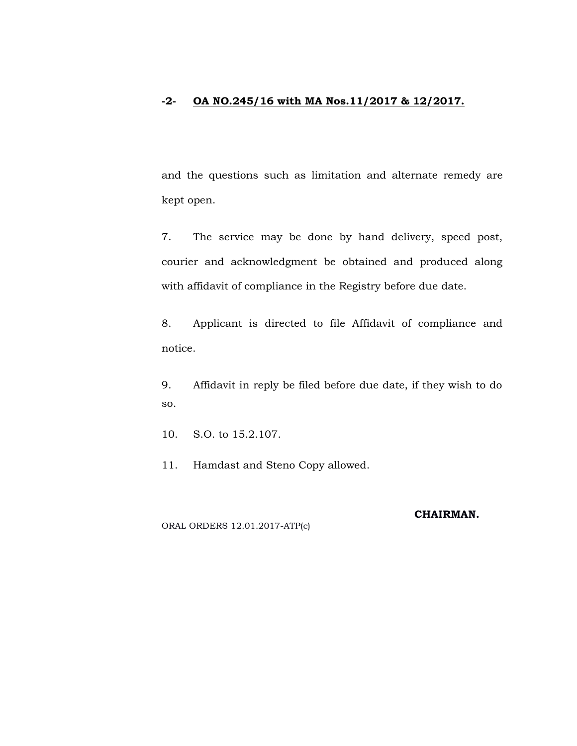# **-2- OA NO.245/16 with MA Nos.11/2017 & 12/2017.**

and the questions such as limitation and alternate remedy are kept open.

7. The service may be done by hand delivery, speed post, courier and acknowledgment be obtained and produced along with affidavit of compliance in the Registry before due date.

8. Applicant is directed to file Affidavit of compliance and notice.

9. Affidavit in reply be filed before due date, if they wish to do so.

10. S.O. to 15.2.107.

11. Hamdast and Steno Copy allowed.

**CHAIRMAN.**

ORAL ORDERS 12.01.2017-ATP(c)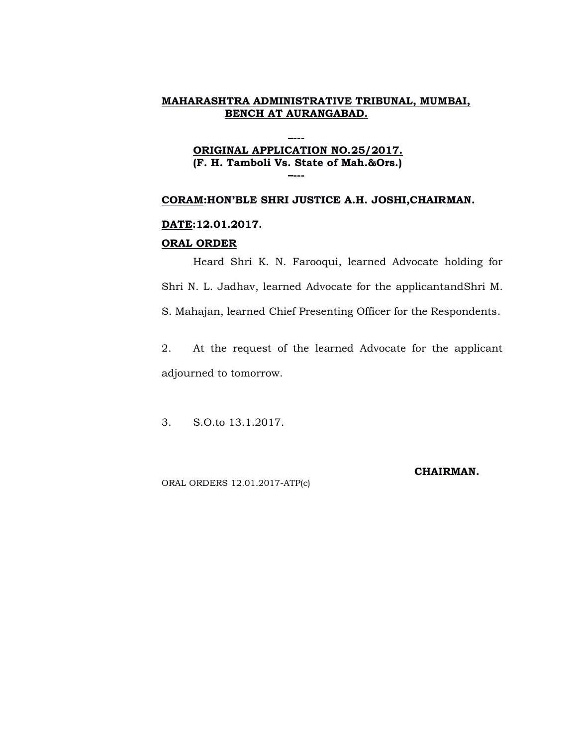## **–--- ORIGINAL APPLICATION NO.25/2017. (F. H. Tamboli Vs. State of Mah.&Ors.) –---**

## **CORAM:HON'BLE SHRI JUSTICE A.H. JOSHI,CHAIRMAN.**

## **DATE:12.01.2017.**

#### **ORAL ORDER**

Heard Shri K. N. Farooqui, learned Advocate holding for Shri N. L. Jadhav, learned Advocate for the applicantandShri M. S. Mahajan, learned Chief Presenting Officer for the Respondents.

2. At the request of the learned Advocate for the applicant adjourned to tomorrow.

3. S.O.to 13.1.2017.

ORAL ORDERS 12.01.2017-ATP(c)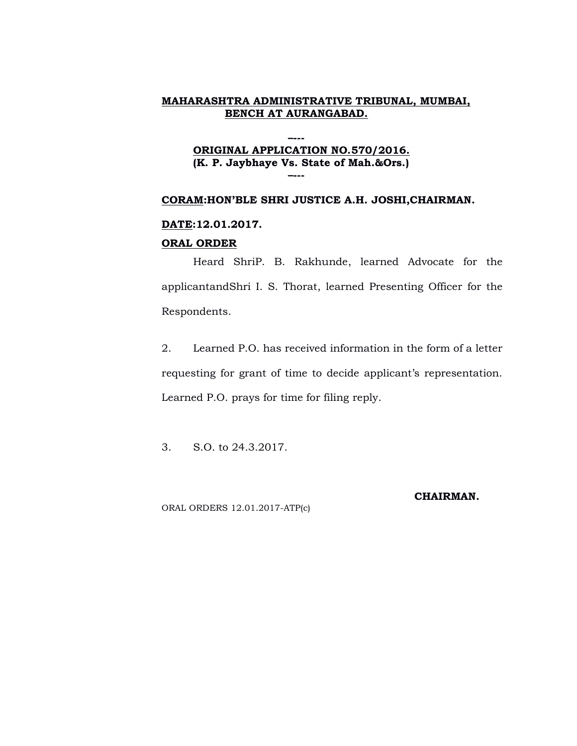## **–--- ORIGINAL APPLICATION NO.570/2016. (K. P. Jaybhaye Vs. State of Mah.&Ors.) –---**

## **CORAM:HON'BLE SHRI JUSTICE A.H. JOSHI,CHAIRMAN.**

## **DATE:12.01.2017.**

#### **ORAL ORDER**

Heard ShriP. B. Rakhunde, learned Advocate for the applicantandShri I. S. Thorat, learned Presenting Officer for the Respondents.

2. Learned P.O. has received information in the form of a letter requesting for grant of time to decide applicant's representation. Learned P.O. prays for time for filing reply.

3. S.O. to 24.3.2017.

ORAL ORDERS 12.01.2017-ATP(c)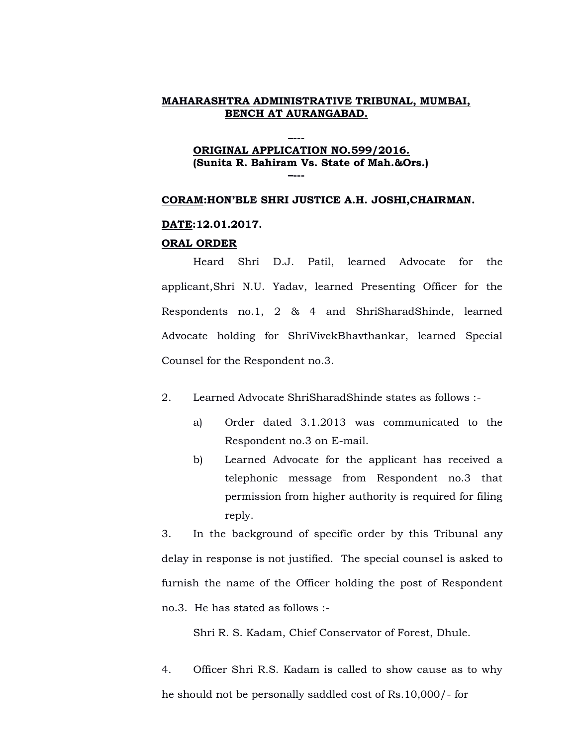## **–--- ORIGINAL APPLICATION NO.599/2016. (Sunita R. Bahiram Vs. State of Mah.&Ors.) –---**

#### **CORAM:HON'BLE SHRI JUSTICE A.H. JOSHI,CHAIRMAN.**

#### **DATE:12.01.2017.**

#### **ORAL ORDER**

Heard Shri D.J. Patil, learned Advocate for the applicant,Shri N.U. Yadav, learned Presenting Officer for the Respondents no.1, 2 & 4 and ShriSharadShinde, learned Advocate holding for ShriVivekBhavthankar, learned Special Counsel for the Respondent no.3.

- 2. Learned Advocate ShriSharadShinde states as follows :
	- a) Order dated 3.1.2013 was communicated to the Respondent no.3 on E-mail.
	- b) Learned Advocate for the applicant has received a telephonic message from Respondent no.3 that permission from higher authority is required for filing reply.

3. In the background of specific order by this Tribunal any delay in response is not justified. The special counsel is asked to furnish the name of the Officer holding the post of Respondent no.3. He has stated as follows :-

Shri R. S. Kadam, Chief Conservator of Forest, Dhule.

4. Officer Shri R.S. Kadam is called to show cause as to why he should not be personally saddled cost of Rs.10,000/- for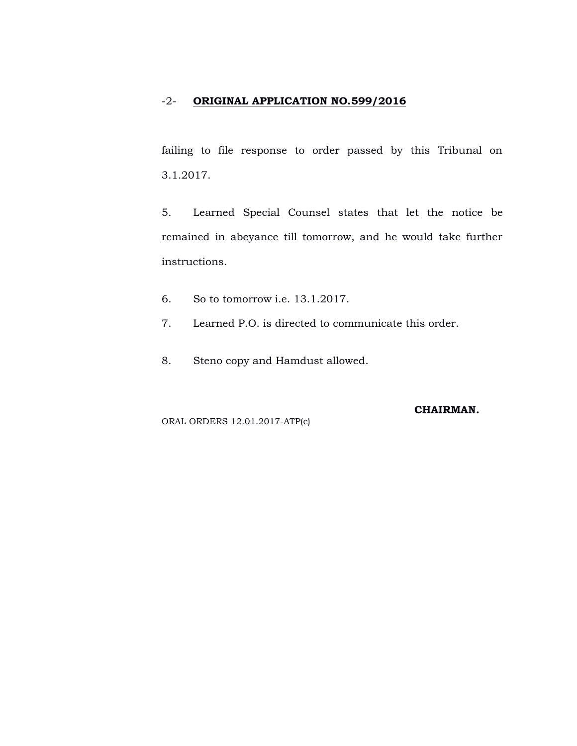# -2- **ORIGINAL APPLICATION NO.599/2016**

failing to file response to order passed by this Tribunal on 3.1.2017.

5. Learned Special Counsel states that let the notice be remained in abeyance till tomorrow, and he would take further instructions.

- 6. So to tomorrow i.e. 13.1.2017.
- 7. Learned P.O. is directed to communicate this order.
- 8. Steno copy and Hamdust allowed.

ORAL ORDERS 12.01.2017-ATP(c)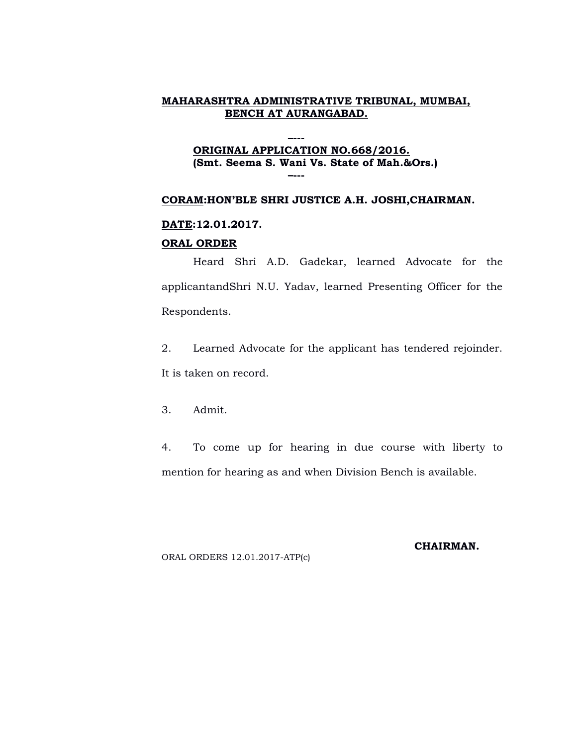#### **–--- ORIGINAL APPLICATION NO.668/2016. (Smt. Seema S. Wani Vs. State of Mah.&Ors.) –---**

## **CORAM:HON'BLE SHRI JUSTICE A.H. JOSHI,CHAIRMAN.**

## **DATE:12.01.2017.**

#### **ORAL ORDER**

Heard Shri A.D. Gadekar, learned Advocate for the applicantandShri N.U. Yadav, learned Presenting Officer for the Respondents.

2. Learned Advocate for the applicant has tendered rejoinder. It is taken on record.

3. Admit.

4. To come up for hearing in due course with liberty to mention for hearing as and when Division Bench is available.

ORAL ORDERS 12.01.2017-ATP(c)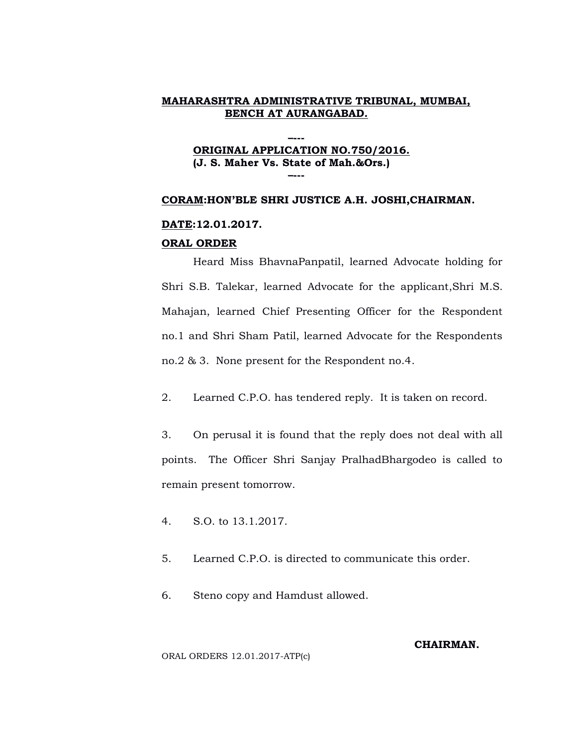**–---**

# **ORIGINAL APPLICATION NO.750/2016. (J. S. Maher Vs. State of Mah.&Ors.) –---**

#### **CORAM:HON'BLE SHRI JUSTICE A.H. JOSHI,CHAIRMAN.**

## **DATE:12.01.2017.**

#### **ORAL ORDER**

Heard Miss BhavnaPanpatil, learned Advocate holding for Shri S.B. Talekar, learned Advocate for the applicant,Shri M.S. Mahajan, learned Chief Presenting Officer for the Respondent no.1 and Shri Sham Patil, learned Advocate for the Respondents no.2 & 3. None present for the Respondent no.4.

2. Learned C.P.O. has tendered reply. It is taken on record.

3. On perusal it is found that the reply does not deal with all points. The Officer Shri Sanjay PralhadBhargodeo is called to remain present tomorrow.

4. S.O. to 13.1.2017.

5. Learned C.P.O. is directed to communicate this order.

6. Steno copy and Hamdust allowed.

## **CHAIRMAN.**

ORAL ORDERS 12.01.2017-ATP(c)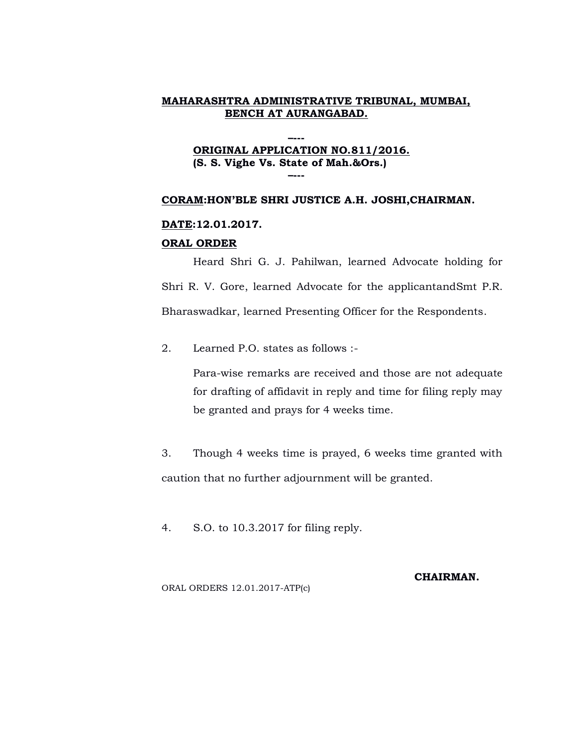## **–--- ORIGINAL APPLICATION NO.811/2016. (S. S. Vighe Vs. State of Mah.&Ors.) –---**

#### **CORAM:HON'BLE SHRI JUSTICE A.H. JOSHI,CHAIRMAN.**

#### **DATE:12.01.2017.**

#### **ORAL ORDER**

Heard Shri G. J. Pahilwan, learned Advocate holding for Shri R. V. Gore, learned Advocate for the applicantandSmt P.R. Bharaswadkar, learned Presenting Officer for the Respondents.

2. Learned P.O. states as follows :-

Para-wise remarks are received and those are not adequate for drafting of affidavit in reply and time for filing reply may be granted and prays for 4 weeks time.

3. Though 4 weeks time is prayed, 6 weeks time granted with caution that no further adjournment will be granted.

4. S.O. to 10.3.2017 for filing reply.

ORAL ORDERS 12.01.2017-ATP(c)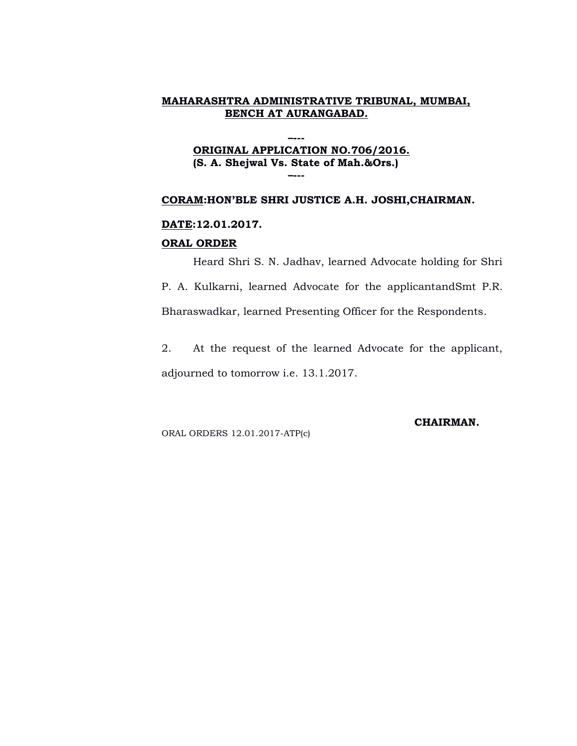**–---**

# **ORIGINAL APPLICATION NO.706/2016. (S. A. Shejwal Vs. State of Mah.&Ors.) –---**

#### **CORAM:HON'BLE SHRI JUSTICE A.H. JOSHI,CHAIRMAN.**

## **DATE:12.01.2017.**

#### **ORAL ORDER**

Heard Shri S. N. Jadhav, learned Advocate holding for Shri

P. A. Kulkarni, learned Advocate for the applicantandSmt P.R. Bharaswadkar, learned Presenting Officer for the Respondents.

2. At the request of the learned Advocate for the applicant, adjourned to tomorrow i.e. 13.1.2017.

ORAL ORDERS 12.01.2017-ATP(c)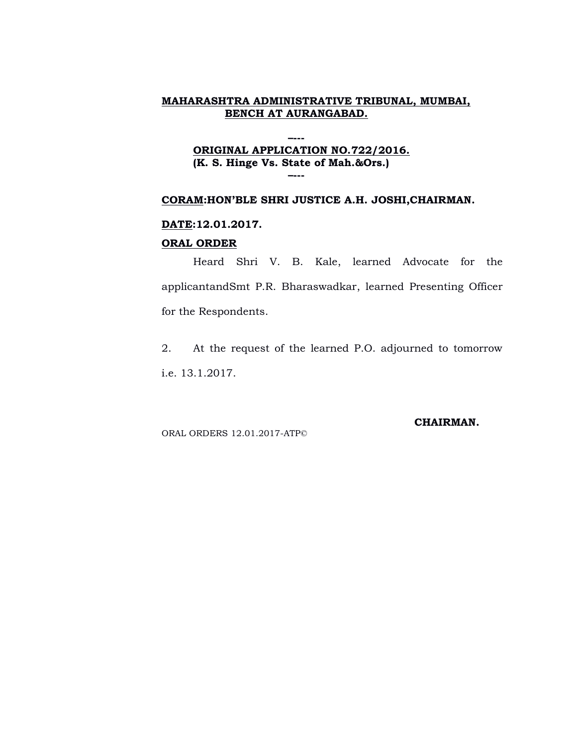#### **ORIGINAL APPLICATION NO.722/2016. (K. S. Hinge Vs. State of Mah.&Ors.) –---**

**–---**

## **CORAM:HON'BLE SHRI JUSTICE A.H. JOSHI,CHAIRMAN.**

#### **DATE:12.01.2017.**

#### **ORAL ORDER**

Heard Shri V. B. Kale, learned Advocate for the applicantandSmt P.R. Bharaswadkar, learned Presenting Officer for the Respondents.

2. At the request of the learned P.O. adjourned to tomorrow i.e. 13.1.2017.

ORAL ORDERS 12.01.2017-ATP©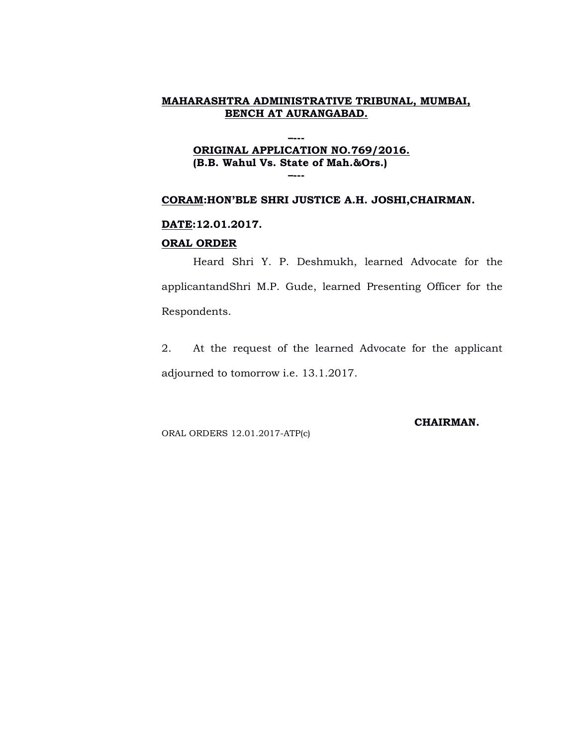#### **ORIGINAL APPLICATION NO.769/2016. (B.B. Wahul Vs. State of Mah.&Ors.) –---**

**–---**

#### **CORAM:HON'BLE SHRI JUSTICE A.H. JOSHI,CHAIRMAN.**

#### **DATE:12.01.2017.**

#### **ORAL ORDER**

Heard Shri Y. P. Deshmukh, learned Advocate for the applicantandShri M.P. Gude, learned Presenting Officer for the Respondents.

2. At the request of the learned Advocate for the applicant adjourned to tomorrow i.e. 13.1.2017.

ORAL ORDERS 12.01.2017-ATP(c)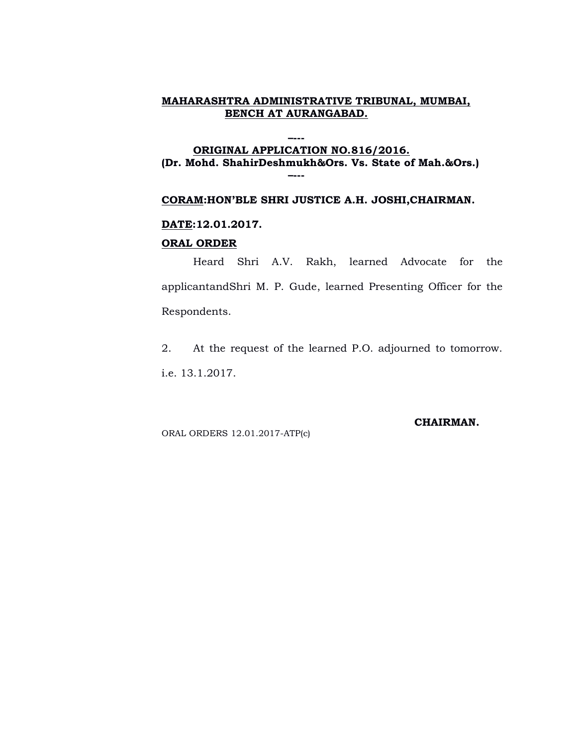**–---**

#### **ORIGINAL APPLICATION NO.816/2016. (Dr. Mohd. ShahirDeshmukh&Ors. Vs. State of Mah.&Ors.) –---**

#### **CORAM:HON'BLE SHRI JUSTICE A.H. JOSHI,CHAIRMAN.**

#### **DATE:12.01.2017.**

#### **ORAL ORDER**

Heard Shri A.V. Rakh, learned Advocate for the applicantandShri M. P. Gude, learned Presenting Officer for the Respondents.

2. At the request of the learned P.O. adjourned to tomorrow. i.e. 13.1.2017.

ORAL ORDERS 12.01.2017-ATP(c)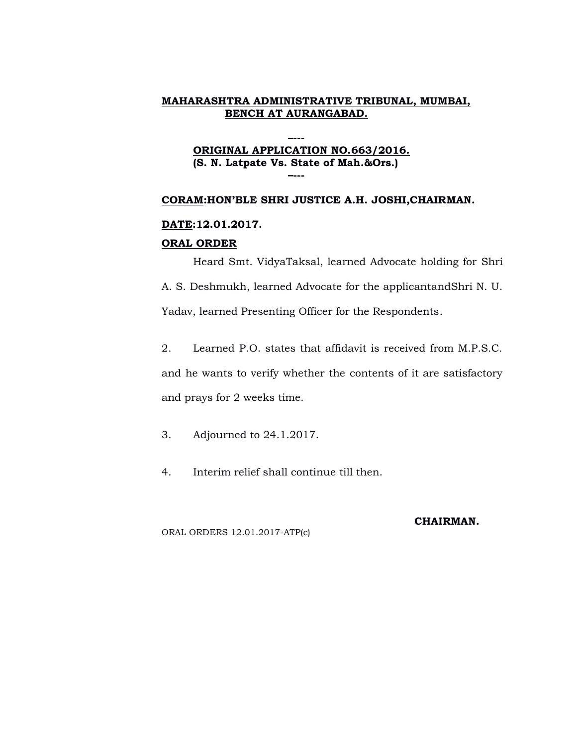## **–--- ORIGINAL APPLICATION NO.663/2016. (S. N. Latpate Vs. State of Mah.&Ors.) –---**

#### **CORAM:HON'BLE SHRI JUSTICE A.H. JOSHI,CHAIRMAN.**

## **DATE:12.01.2017.**

## **ORAL ORDER**

Heard Smt. VidyaTaksal, learned Advocate holding for Shri A. S. Deshmukh, learned Advocate for the applicantandShri N. U.

Yadav, learned Presenting Officer for the Respondents.

2. Learned P.O. states that affidavit is received from M.P.S.C. and he wants to verify whether the contents of it are satisfactory and prays for 2 weeks time.

3. Adjourned to 24.1.2017.

4. Interim relief shall continue till then.

#### **CHAIRMAN.**

ORAL ORDERS 12.01.2017-ATP(c)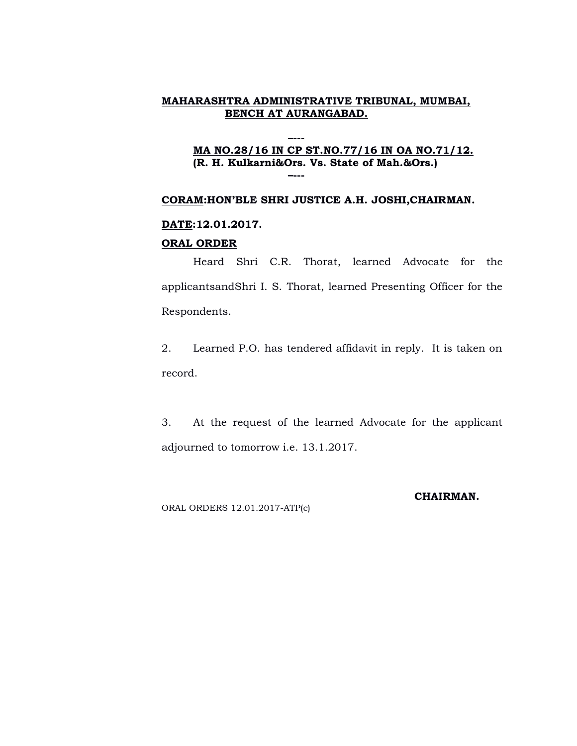## **–--- MA NO.28/16 IN CP ST.NO.77/16 IN OA NO.71/12. (R. H. Kulkarni&Ors. Vs. State of Mah.&Ors.) –---**

#### **CORAM:HON'BLE SHRI JUSTICE A.H. JOSHI,CHAIRMAN.**

#### **DATE:12.01.2017.**

#### **ORAL ORDER**

Heard Shri C.R. Thorat, learned Advocate for the applicantsandShri I. S. Thorat, learned Presenting Officer for the Respondents.

2. Learned P.O. has tendered affidavit in reply. It is taken on record.

3. At the request of the learned Advocate for the applicant adjourned to tomorrow i.e. 13.1.2017.

ORAL ORDERS 12.01.2017-ATP(c)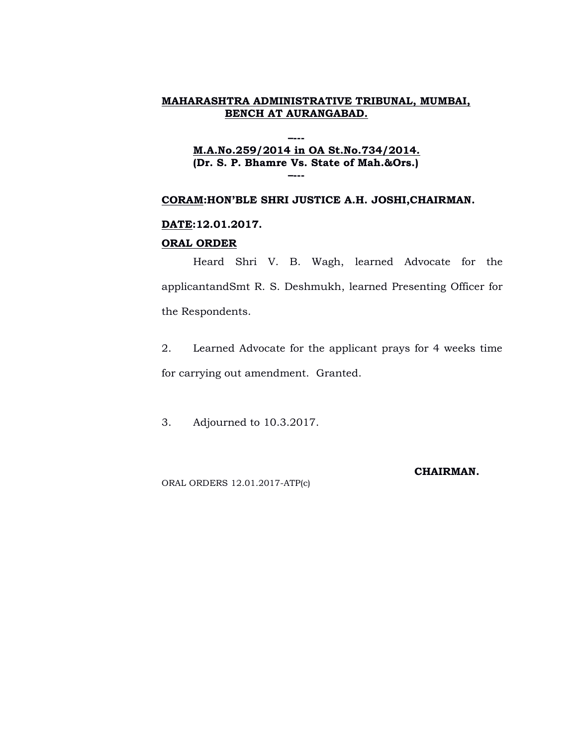#### **M.A.No.259/2014 in OA St.No.734/2014. (Dr. S. P. Bhamre Vs. State of Mah.&Ors.) –---**

**–---**

## **CORAM:HON'BLE SHRI JUSTICE A.H. JOSHI,CHAIRMAN.**

#### **DATE:12.01.2017.**

#### **ORAL ORDER**

Heard Shri V. B. Wagh, learned Advocate for the applicantandSmt R. S. Deshmukh, learned Presenting Officer for the Respondents.

2. Learned Advocate for the applicant prays for 4 weeks time for carrying out amendment. Granted.

3. Adjourned to 10.3.2017.

ORAL ORDERS 12.01.2017-ATP(c)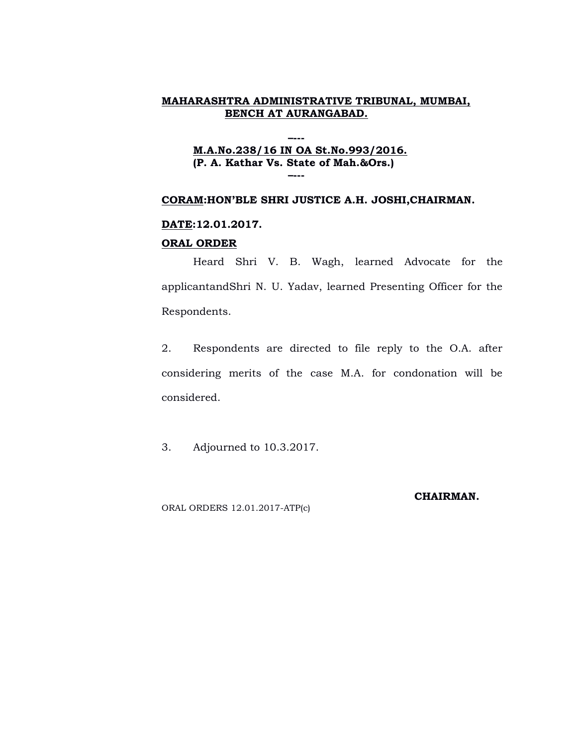## **–--- M.A.No.238/16 IN OA St.No.993/2016. (P. A. Kathar Vs. State of Mah.&Ors.) –---**

#### **CORAM:HON'BLE SHRI JUSTICE A.H. JOSHI,CHAIRMAN.**

#### **DATE:12.01.2017.**

#### **ORAL ORDER**

Heard Shri V. B. Wagh, learned Advocate for the applicantandShri N. U. Yadav, learned Presenting Officer for the Respondents.

2. Respondents are directed to file reply to the O.A. after considering merits of the case M.A. for condonation will be considered.

3. Adjourned to 10.3.2017.

ORAL ORDERS 12.01.2017-ATP(c)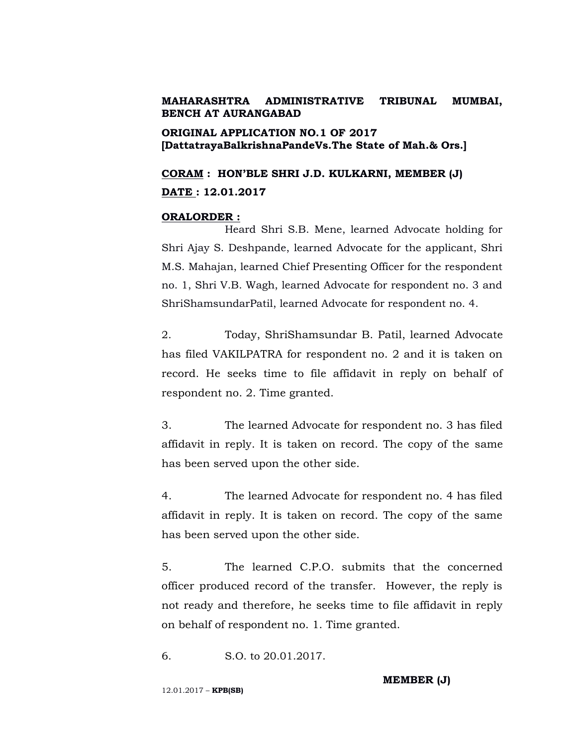# **ORIGINAL APPLICATION NO.1 OF 2017 [DattatrayaBalkrishnaPandeVs.The State of Mah.& Ors.]**

**CORAM : HON'BLE SHRI J.D. KULKARNI, MEMBER (J) DATE : 12.01.2017**

#### **ORALORDER :**

Heard Shri S.B. Mene, learned Advocate holding for Shri Ajay S. Deshpande, learned Advocate for the applicant, Shri M.S. Mahajan, learned Chief Presenting Officer for the respondent no. 1, Shri V.B. Wagh, learned Advocate for respondent no. 3 and ShriShamsundarPatil, learned Advocate for respondent no. 4.

2. Today, ShriShamsundar B. Patil, learned Advocate has filed VAKILPATRA for respondent no. 2 and it is taken on record. He seeks time to file affidavit in reply on behalf of respondent no. 2. Time granted.

3. The learned Advocate for respondent no. 3 has filed affidavit in reply. It is taken on record. The copy of the same has been served upon the other side.

4. The learned Advocate for respondent no. 4 has filed affidavit in reply. It is taken on record. The copy of the same has been served upon the other side.

5. The learned C.P.O. submits that the concerned officer produced record of the transfer. However, the reply is not ready and therefore, he seeks time to file affidavit in reply on behalf of respondent no. 1. Time granted.

6. S.O. to 20.01.2017.

**MEMBER (J)**

12.01.2017 – **KPB(SB)**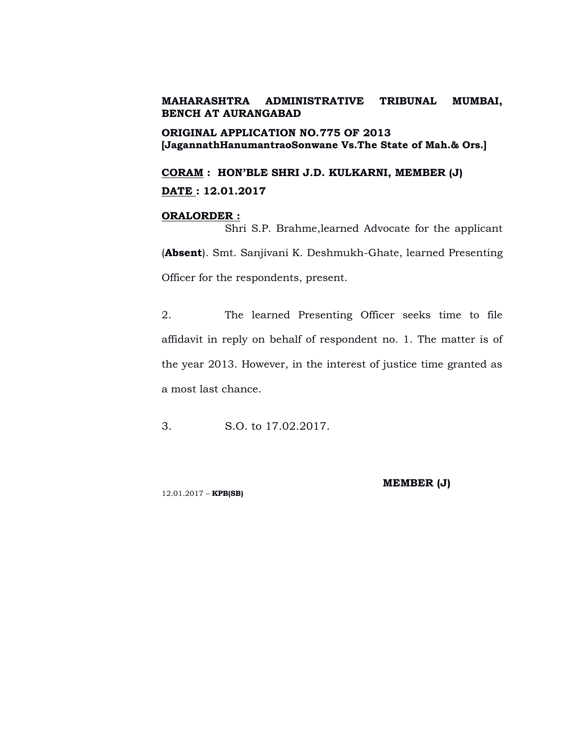**ORIGINAL APPLICATION NO.775 OF 2013 [JagannathHanumantraoSonwane Vs.The State of Mah.& Ors.]**

**CORAM : HON'BLE SHRI J.D. KULKARNI, MEMBER (J) DATE : 12.01.2017**

#### **ORALORDER :**

Shri S.P. Brahme,learned Advocate for the applicant (**Absent**). Smt. Sanjivani K. Deshmukh-Ghate, learned Presenting Officer for the respondents, present.

2. The learned Presenting Officer seeks time to file affidavit in reply on behalf of respondent no. 1. The matter is of the year 2013. However, in the interest of justice time granted as a most last chance.

3. S.O. to 17.02.2017.

12.01.2017 – **KPB(SB)**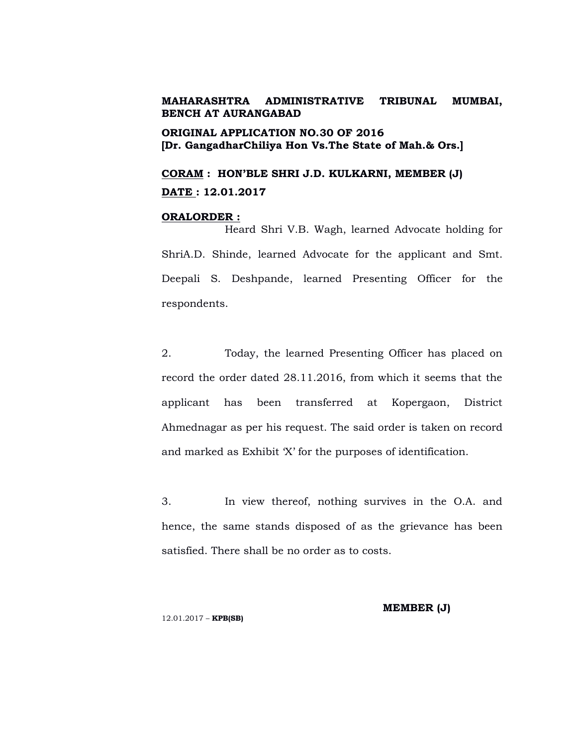**ORIGINAL APPLICATION NO.30 OF 2016 [Dr. GangadharChiliya Hon Vs.The State of Mah.& Ors.]**

**CORAM : HON'BLE SHRI J.D. KULKARNI, MEMBER (J) DATE : 12.01.2017**

## **ORALORDER :**

Heard Shri V.B. Wagh, learned Advocate holding for ShriA.D. Shinde, learned Advocate for the applicant and Smt. Deepali S. Deshpande, learned Presenting Officer for the respondents.

2. Today, the learned Presenting Officer has placed on record the order dated 28.11.2016, from which it seems that the applicant has been transferred at Kopergaon, District Ahmednagar as per his request. The said order is taken on record and marked as Exhibit 'X' for the purposes of identification.

3. In view thereof, nothing survives in the O.A. and hence, the same stands disposed of as the grievance has been satisfied. There shall be no order as to costs.

12.01.2017 – **KPB(SB)**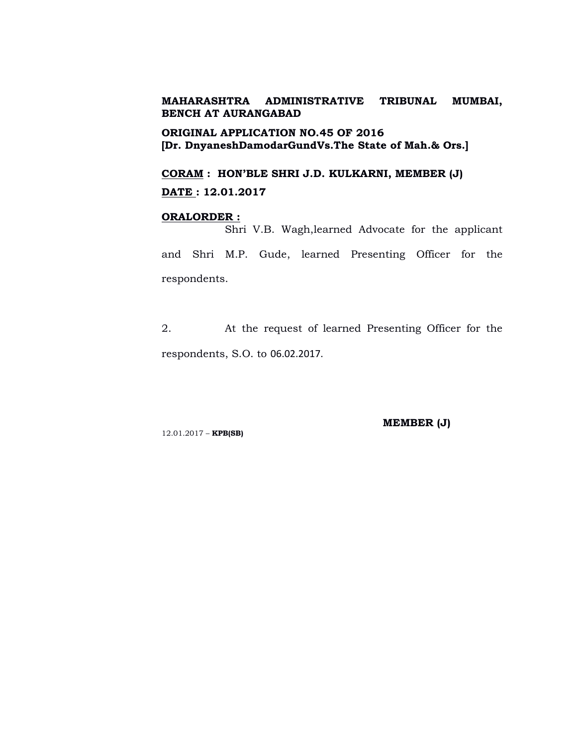**ORIGINAL APPLICATION NO.45 OF 2016 [Dr. DnyaneshDamodarGundVs.The State of Mah.& Ors.]**

**CORAM : HON'BLE SHRI J.D. KULKARNI, MEMBER (J) DATE : 12.01.2017**

## **ORALORDER :**

Shri V.B. Wagh,learned Advocate for the applicant and Shri M.P. Gude, learned Presenting Officer for the respondents.

2. At the request of learned Presenting Officer for the respondents, S.O. to 06.02.2017.

12.01.2017 – **KPB(SB)**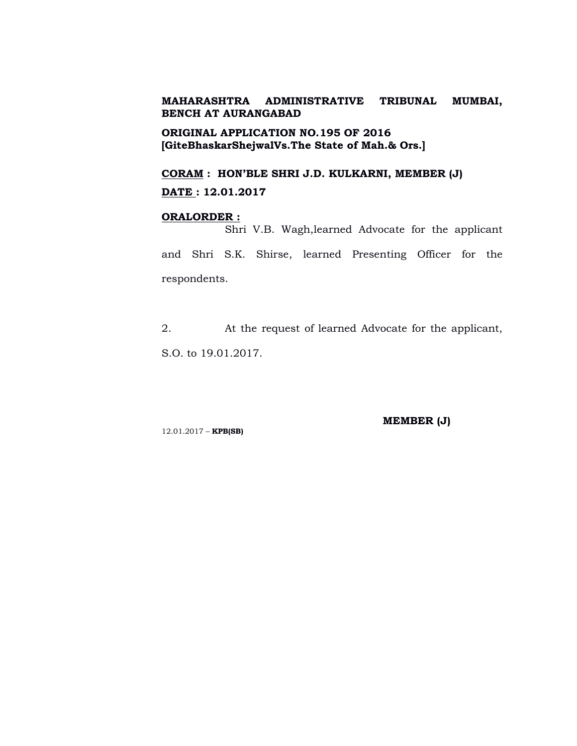**ORIGINAL APPLICATION NO.195 OF 2016 [GiteBhaskarShejwalVs.The State of Mah.& Ors.]**

**CORAM : HON'BLE SHRI J.D. KULKARNI, MEMBER (J) DATE : 12.01.2017**

### **ORALORDER :**

Shri V.B. Wagh,learned Advocate for the applicant and Shri S.K. Shirse, learned Presenting Officer for the respondents.

2. At the request of learned Advocate for the applicant, S.O. to 19.01.2017.

12.01.2017 – **KPB(SB)**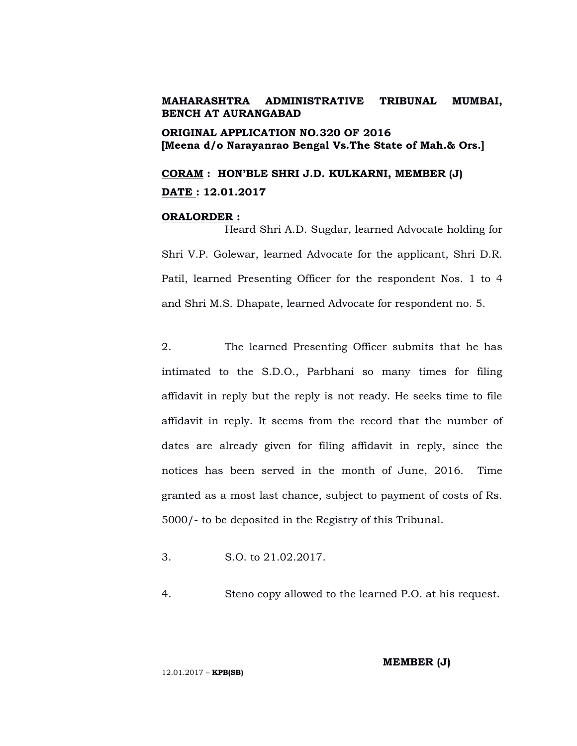**ORIGINAL APPLICATION NO.320 OF 2016 [Meena d/o Narayanrao Bengal Vs.The State of Mah.& Ors.]**

**CORAM : HON'BLE SHRI J.D. KULKARNI, MEMBER (J) DATE : 12.01.2017**

### **ORALORDER :**

Heard Shri A.D. Sugdar, learned Advocate holding for Shri V.P. Golewar, learned Advocate for the applicant, Shri D.R. Patil, learned Presenting Officer for the respondent Nos. 1 to 4 and Shri M.S. Dhapate, learned Advocate for respondent no. 5.

2. The learned Presenting Officer submits that he has intimated to the S.D.O., Parbhani so many times for filing affidavit in reply but the reply is not ready. He seeks time to file affidavit in reply. It seems from the record that the number of dates are already given for filing affidavit in reply, since the notices has been served in the month of June, 2016. Time granted as a most last chance, subject to payment of costs of Rs. 5000/- to be deposited in the Registry of this Tribunal.

3. S.O. to 21.02.2017.

4. Steno copy allowed to the learned P.O. at his request.

**MEMBER (J)**

12.01.2017 – **KPB(SB)**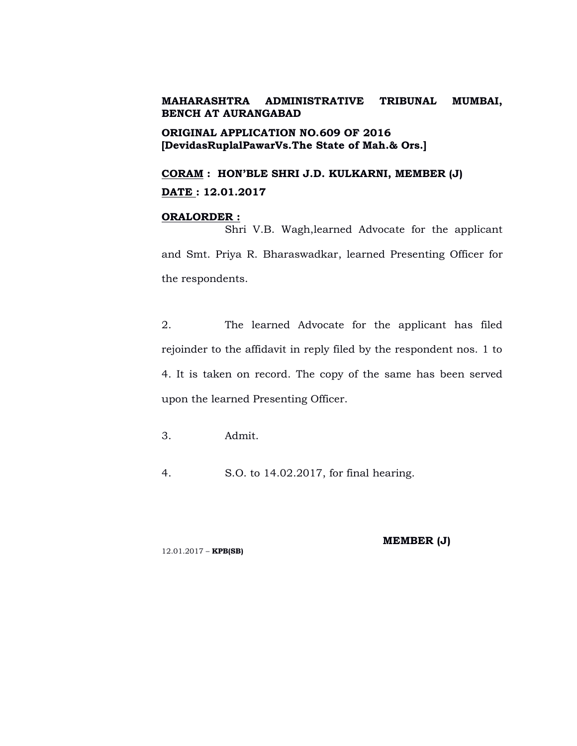**ORIGINAL APPLICATION NO.609 OF 2016 [DevidasRuplalPawarVs.The State of Mah.& Ors.]**

**CORAM : HON'BLE SHRI J.D. KULKARNI, MEMBER (J) DATE : 12.01.2017**

### **ORALORDER :**

Shri V.B. Wagh,learned Advocate for the applicant and Smt. Priya R. Bharaswadkar, learned Presenting Officer for the respondents.

2. The learned Advocate for the applicant has filed rejoinder to the affidavit in reply filed by the respondent nos. 1 to 4. It is taken on record. The copy of the same has been served upon the learned Presenting Officer.

- 3. Admit.
- 4. S.O. to 14.02.2017, for final hearing.

12.01.2017 – **KPB(SB)**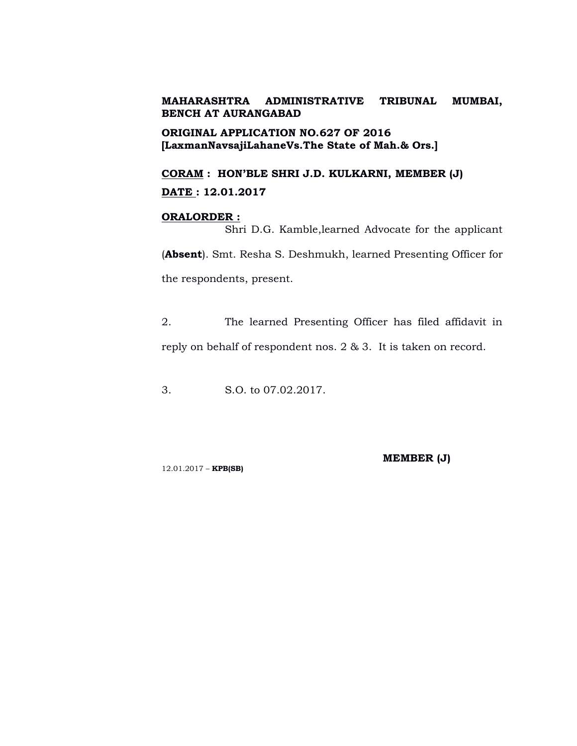**ORIGINAL APPLICATION NO.627 OF 2016 [LaxmanNavsajiLahaneVs.The State of Mah.& Ors.]**

**CORAM : HON'BLE SHRI J.D. KULKARNI, MEMBER (J) DATE : 12.01.2017**

## **ORALORDER :**

Shri D.G. Kamble,learned Advocate for the applicant (**Absent**). Smt. Resha S. Deshmukh, learned Presenting Officer for the respondents, present.

2. The learned Presenting Officer has filed affidavit in reply on behalf of respondent nos. 2 & 3. It is taken on record.

3. S.O. to 07.02.2017.

**MEMBER (J)**

12.01.2017 – **KPB(SB)**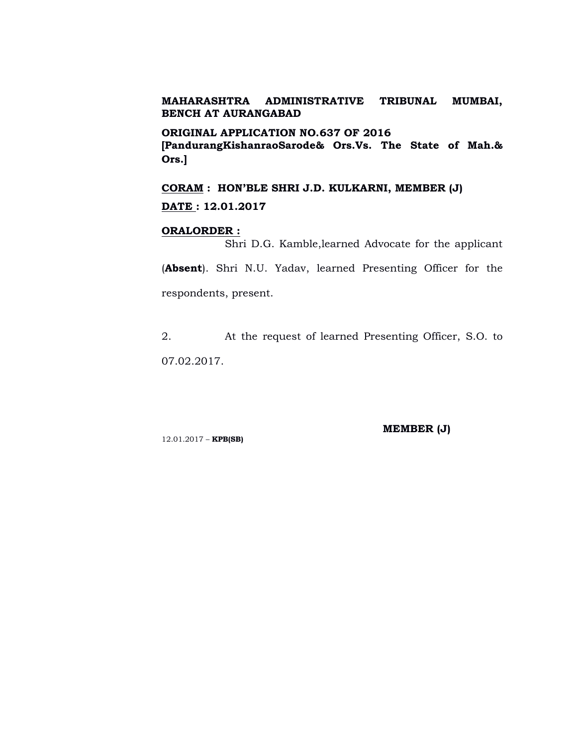**ORIGINAL APPLICATION NO.637 OF 2016**

**[PandurangKishanraoSarode& Ors.Vs. The State of Mah.& Ors.]**

**CORAM : HON'BLE SHRI J.D. KULKARNI, MEMBER (J) DATE : 12.01.2017**

#### **ORALORDER :**

Shri D.G. Kamble,learned Advocate for the applicant

(**Absent**). Shri N.U. Yadav, learned Presenting Officer for the respondents, present.

2. At the request of learned Presenting Officer, S.O. to 07.02.2017.

12.01.2017 – **KPB(SB)**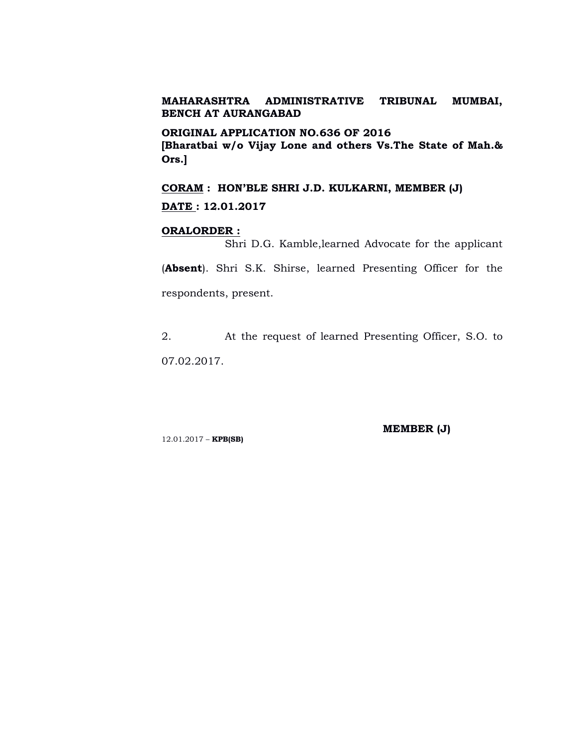**ORIGINAL APPLICATION NO.636 OF 2016 [Bharatbai w/o Vijay Lone and others Vs.The State of Mah.& Ors.]**

**CORAM : HON'BLE SHRI J.D. KULKARNI, MEMBER (J) DATE : 12.01.2017**

#### **ORALORDER :**

Shri D.G. Kamble,learned Advocate for the applicant

(**Absent**). Shri S.K. Shirse, learned Presenting Officer for the respondents, present.

2. At the request of learned Presenting Officer, S.O. to 07.02.2017.

12.01.2017 – **KPB(SB)**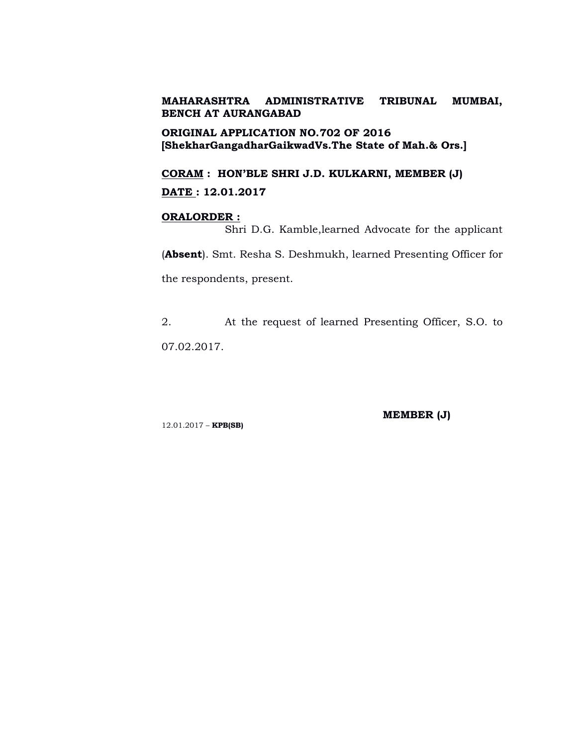**ORIGINAL APPLICATION NO.702 OF 2016 [ShekharGangadharGaikwadVs.The State of Mah.& Ors.]**

**CORAM : HON'BLE SHRI J.D. KULKARNI, MEMBER (J) DATE : 12.01.2017**

### **ORALORDER :**

Shri D.G. Kamble,learned Advocate for the applicant

(**Absent**). Smt. Resha S. Deshmukh, learned Presenting Officer for the respondents, present.

2. At the request of learned Presenting Officer, S.O. to 07.02.2017.

12.01.2017 – **KPB(SB)**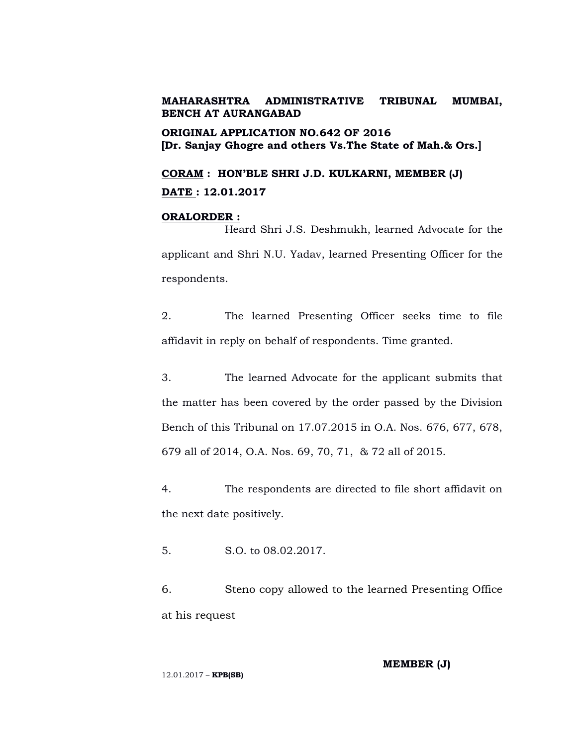**ORIGINAL APPLICATION NO.642 OF 2016 [Dr. Sanjay Ghogre and others Vs.The State of Mah.& Ors.]**

**CORAM : HON'BLE SHRI J.D. KULKARNI, MEMBER (J) DATE : 12.01.2017**

## **ORALORDER :**

Heard Shri J.S. Deshmukh, learned Advocate for the applicant and Shri N.U. Yadav, learned Presenting Officer for the respondents.

2. The learned Presenting Officer seeks time to file affidavit in reply on behalf of respondents. Time granted.

3. The learned Advocate for the applicant submits that the matter has been covered by the order passed by the Division Bench of this Tribunal on 17.07.2015 in O.A. Nos. 676, 677, 678, 679 all of 2014, O.A. Nos. 69, 70, 71, & 72 all of 2015.

4. The respondents are directed to file short affidavit on the next date positively.

5. S.O. to 08.02.2017.

6. Steno copy allowed to the learned Presenting Office at his request

**MEMBER (J)**

12.01.2017 – **KPB(SB)**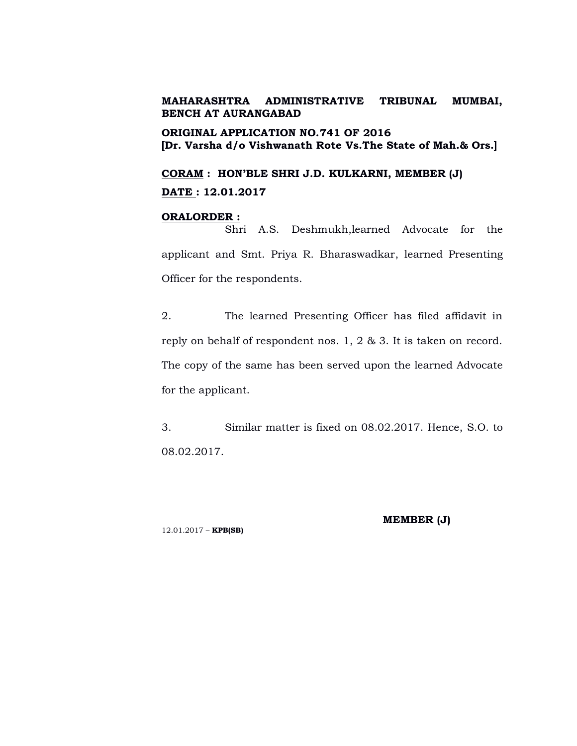**ORIGINAL APPLICATION NO.741 OF 2016 [Dr. Varsha d/o Vishwanath Rote Vs.The State of Mah.& Ors.]**

**CORAM : HON'BLE SHRI J.D. KULKARNI, MEMBER (J) DATE : 12.01.2017**

## **ORALORDER :**

Shri A.S. Deshmukh,learned Advocate for the applicant and Smt. Priya R. Bharaswadkar, learned Presenting Officer for the respondents.

2. The learned Presenting Officer has filed affidavit in reply on behalf of respondent nos. 1, 2 & 3. It is taken on record. The copy of the same has been served upon the learned Advocate for the applicant.

3. Similar matter is fixed on 08.02.2017. Hence, S.O. to 08.02.2017.

12.01.2017 – **KPB(SB)**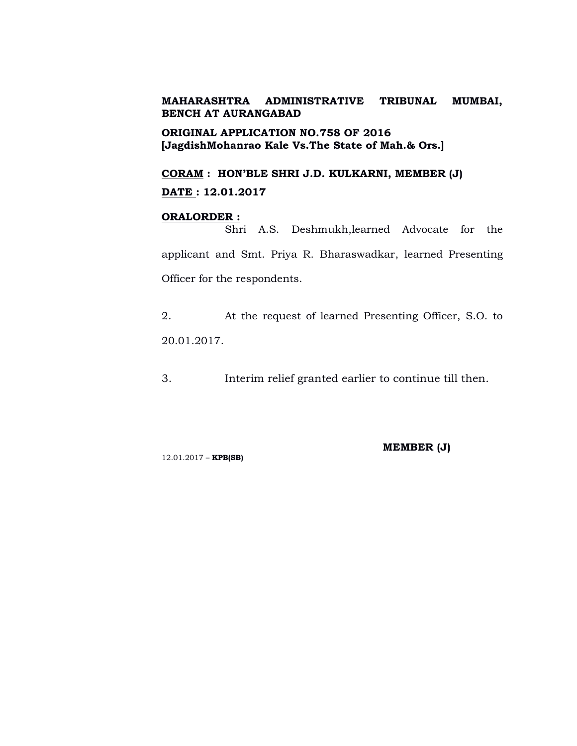**ORIGINAL APPLICATION NO.758 OF 2016 [JagdishMohanrao Kale Vs.The State of Mah.& Ors.]**

**CORAM : HON'BLE SHRI J.D. KULKARNI, MEMBER (J) DATE : 12.01.2017**

### **ORALORDER :**

Shri A.S. Deshmukh,learned Advocate for the applicant and Smt. Priya R. Bharaswadkar, learned Presenting Officer for the respondents.

2. At the request of learned Presenting Officer, S.O. to 20.01.2017.

3. Interim relief granted earlier to continue till then.

12.01.2017 – **KPB(SB)**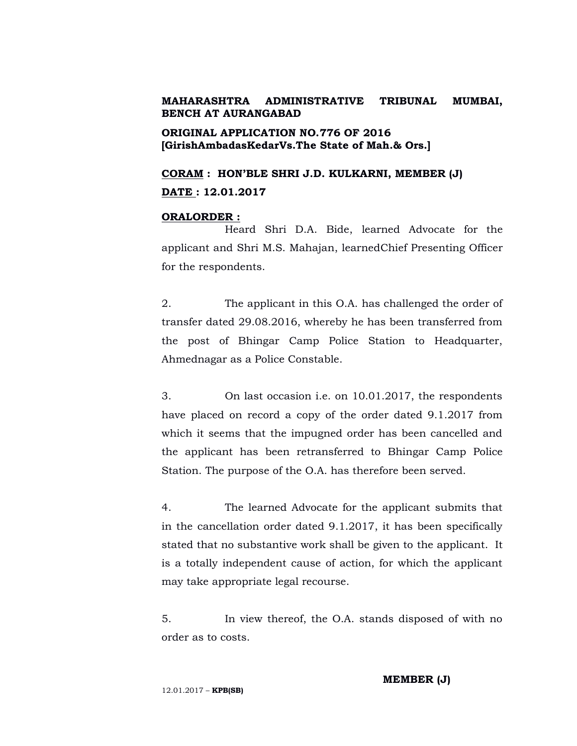# **ORIGINAL APPLICATION NO.776 OF 2016 [GirishAmbadasKedarVs.The State of Mah.& Ors.]**

**CORAM : HON'BLE SHRI J.D. KULKARNI, MEMBER (J) DATE : 12.01.2017**

## **ORALORDER :**

Heard Shri D.A. Bide, learned Advocate for the applicant and Shri M.S. Mahajan, learnedChief Presenting Officer for the respondents.

2. The applicant in this O.A. has challenged the order of transfer dated 29.08.2016, whereby he has been transferred from the post of Bhingar Camp Police Station to Headquarter, Ahmednagar as a Police Constable.

3. On last occasion i.e. on 10.01.2017, the respondents have placed on record a copy of the order dated 9.1.2017 from which it seems that the impugned order has been cancelled and the applicant has been retransferred to Bhingar Camp Police Station. The purpose of the O.A. has therefore been served.

4. The learned Advocate for the applicant submits that in the cancellation order dated 9.1.2017, it has been specifically stated that no substantive work shall be given to the applicant. It is a totally independent cause of action, for which the applicant may take appropriate legal recourse.

5. In view thereof, the O.A. stands disposed of with no order as to costs.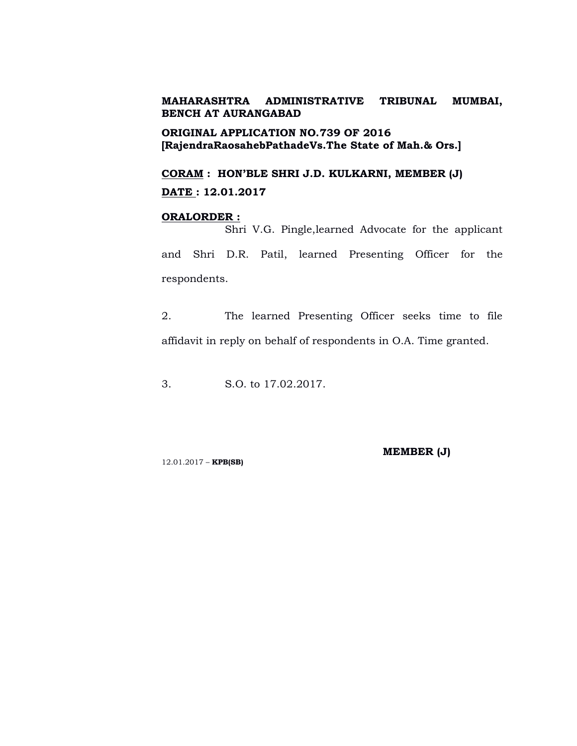**ORIGINAL APPLICATION NO.739 OF 2016 [RajendraRaosahebPathadeVs.The State of Mah.& Ors.]**

**CORAM : HON'BLE SHRI J.D. KULKARNI, MEMBER (J) DATE : 12.01.2017**

## **ORALORDER :**

Shri V.G. Pingle,learned Advocate for the applicant and Shri D.R. Patil, learned Presenting Officer for the respondents.

2. The learned Presenting Officer seeks time to file affidavit in reply on behalf of respondents in O.A. Time granted.

3. S.O. to 17.02.2017.

**MEMBER (J)**

12.01.2017 – **KPB(SB)**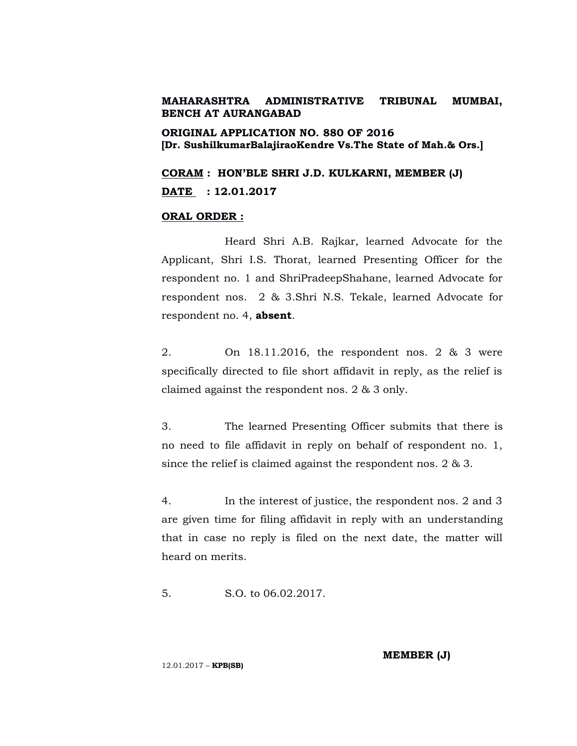**ORIGINAL APPLICATION NO. 880 OF 2016 [Dr. SushilkumarBalajiraoKendre Vs.The State of Mah.& Ors.]**

**CORAM : HON'BLE SHRI J.D. KULKARNI, MEMBER (J) DATE : 12.01.2017**

#### **ORAL ORDER :**

Heard Shri A.B. Rajkar, learned Advocate for the Applicant, Shri I.S. Thorat, learned Presenting Officer for the respondent no. 1 and ShriPradeepShahane, learned Advocate for respondent nos. 2 & 3.Shri N.S. Tekale, learned Advocate for respondent no. 4, **absent**.

2. On 18.11.2016, the respondent nos. 2 & 3 were specifically directed to file short affidavit in reply, as the relief is claimed against the respondent nos. 2 & 3 only.

3. The learned Presenting Officer submits that there is no need to file affidavit in reply on behalf of respondent no. 1, since the relief is claimed against the respondent nos. 2 & 3.

4. In the interest of justice, the respondent nos. 2 and 3 are given time for filing affidavit in reply with an understanding that in case no reply is filed on the next date, the matter will heard on merits.

5. S.O. to 06.02.2017.

**MEMBER (J)**

12.01.2017 – **KPB(SB)**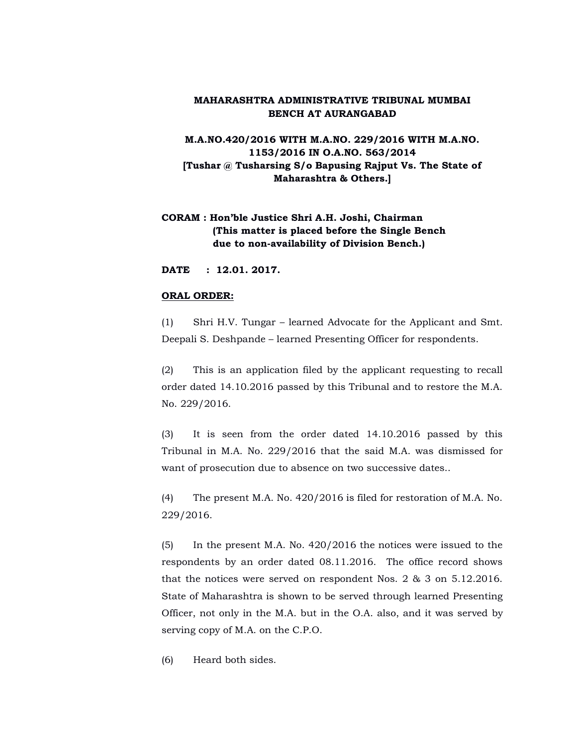**M.A.NO.420/2016 WITH M.A.NO. 229/2016 WITH M.A.NO. 1153/2016 IN O.A.NO. 563/2014 [Tushar @ Tusharsing S/o Bapusing Rajput Vs. The State of Maharashtra & Others.]**

# **CORAM : Hon'ble Justice Shri A.H. Joshi, Chairman (This matter is placed before the Single Bench due to non-availability of Division Bench.)**

**DATE : 12.01. 2017.**

#### **ORAL ORDER:**

(1) Shri H.V. Tungar – learned Advocate for the Applicant and Smt. Deepali S. Deshpande – learned Presenting Officer for respondents.

(2) This is an application filed by the applicant requesting to recall order dated 14.10.2016 passed by this Tribunal and to restore the M.A. No. 229/2016.

(3) It is seen from the order dated 14.10.2016 passed by this Tribunal in M.A. No. 229/2016 that the said M.A. was dismissed for want of prosecution due to absence on two successive dates..

(4) The present M.A. No. 420/2016 is filed for restoration of M.A. No. 229/2016.

(5) In the present M.A. No. 420/2016 the notices were issued to the respondents by an order dated 08.11.2016. The office record shows that the notices were served on respondent Nos. 2 & 3 on 5.12.2016. State of Maharashtra is shown to be served through learned Presenting Officer, not only in the M.A. but in the O.A. also, and it was served by serving copy of M.A. on the C.P.O.

(6) Heard both sides.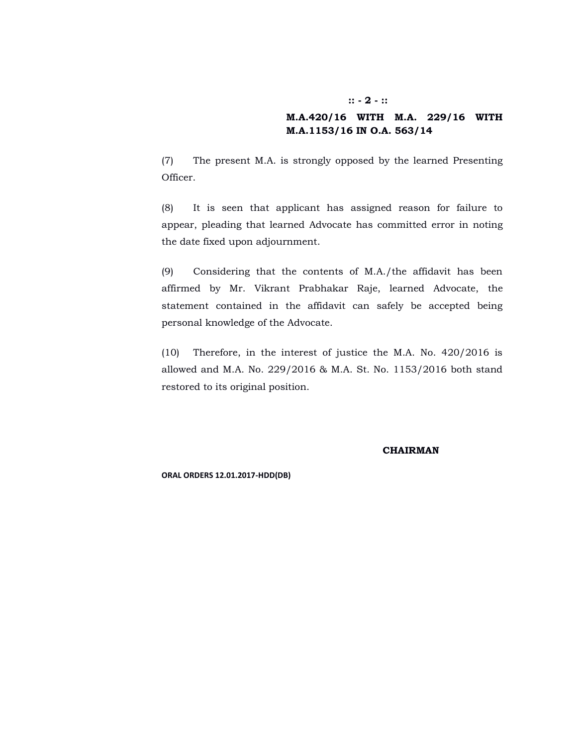#### **:: - 2 - ::**

## **M.A.420/16 WITH M.A. 229/16 WITH M.A.1153/16 IN O.A. 563/14**

(7) The present M.A. is strongly opposed by the learned Presenting Officer.

(8) It is seen that applicant has assigned reason for failure to appear, pleading that learned Advocate has committed error in noting the date fixed upon adjournment.

(9) Considering that the contents of M.A./the affidavit has been affirmed by Mr. Vikrant Prabhakar Raje, learned Advocate, the statement contained in the affidavit can safely be accepted being personal knowledge of the Advocate.

(10) Therefore, in the interest of justice the M.A. No. 420/2016 is allowed and M.A. No. 229/2016 & M.A. St. No. 1153/2016 both stand restored to its original position.

**CHAIRMAN**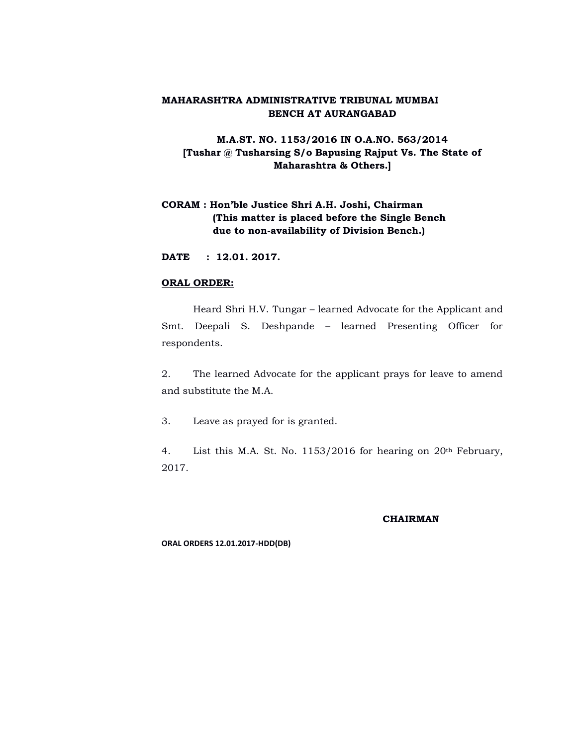# **M.A.ST. NO. 1153/2016 IN O.A.NO. 563/2014 [Tushar @ Tusharsing S/o Bapusing Rajput Vs. The State of Maharashtra & Others.]**

# **CORAM : Hon'ble Justice Shri A.H. Joshi, Chairman (This matter is placed before the Single Bench due to non-availability of Division Bench.)**

**DATE : 12.01. 2017.**

#### **ORAL ORDER:**

Heard Shri H.V. Tungar – learned Advocate for the Applicant and Smt. Deepali S. Deshpande – learned Presenting Officer for respondents.

2. The learned Advocate for the applicant prays for leave to amend and substitute the M.A.

3. Leave as prayed for is granted.

4. List this M.A. St. No. 1153/2016 for hearing on 20th February, 2017.

#### **CHAIRMAN**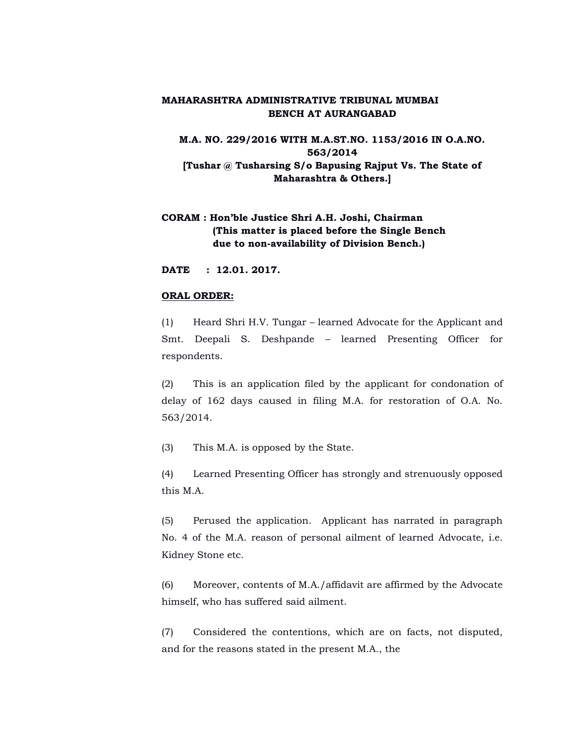**M.A. NO. 229/2016 WITH M.A.ST.NO. 1153/2016 IN O.A.NO. 563/2014 [Tushar @ Tusharsing S/o Bapusing Rajput Vs. The State of Maharashtra & Others.]**

# **CORAM : Hon'ble Justice Shri A.H. Joshi, Chairman (This matter is placed before the Single Bench due to non-availability of Division Bench.)**

**DATE : 12.01. 2017.**

#### **ORAL ORDER:**

(1) Heard Shri H.V. Tungar – learned Advocate for the Applicant and Smt. Deepali S. Deshpande – learned Presenting Officer for respondents.

(2) This is an application filed by the applicant for condonation of delay of 162 days caused in filing M.A. for restoration of O.A. No. 563/2014.

(3) This M.A. is opposed by the State.

(4) Learned Presenting Officer has strongly and strenuously opposed this M.A.

(5) Perused the application. Applicant has narrated in paragraph No. 4 of the M.A. reason of personal ailment of learned Advocate, i.e. Kidney Stone etc.

(6) Moreover, contents of M.A./affidavit are affirmed by the Advocate himself, who has suffered said ailment.

(7) Considered the contentions, which are on facts, not disputed, and for the reasons stated in the present M.A., the